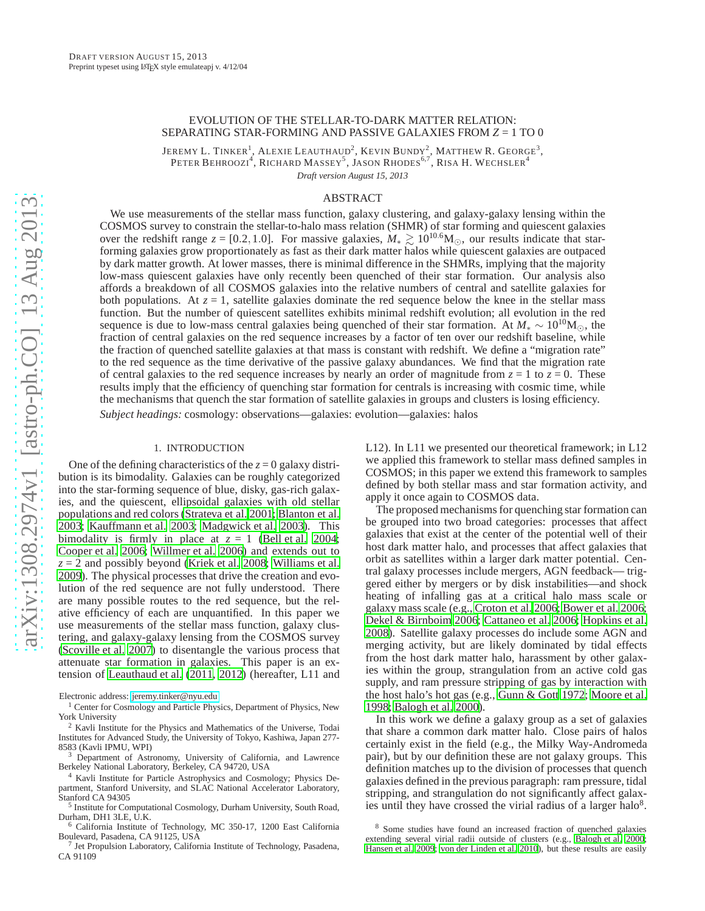# EVOLUTION OF THE STELLAR-TO-DARK MATTER RELATION: SEPARATING STAR-FORMING AND PASSIVE GALAXIES FROM *Z* = 1 TO 0

JEREMY L. TINKER<sup>1</sup>, ALEXIE LEAUTHAUD<sup>2</sup>, KEVIN BUNDY<sup>2</sup>, MATTHEW R. GEORGE<sup>3</sup>, Peter Behroozi<sup>4</sup>, Richard Massey<sup>5</sup>, Jason Rhodes<sup>6,7</sup>, Risa H. Wechsler<sup>4</sup>

*Draft version August 15, 2013*

# ABSTRACT

We use measurements of the stellar mass function, galaxy clustering, and galaxy-galaxy lensing within the COSMOS survey to constrain the stellar-to-halo mass relation (SHMR) of star forming and quiescent galaxies over the redshift range *z* = [0.2,1.0]. For massive galaxies,  $M_* \gtrsim 10^{10.6} M_{\odot}$ , our results indicate that starforming galaxies grow proportionately as fast as their dark matter halos while quiescent galaxies are outpaced by dark matter growth. At lower masses, there is minimal difference in the SHMRs, implying that the majority low-mass quiescent galaxies have only recently been quenched of their star formation. Our analysis also affords a breakdown of all COSMOS galaxies into the relative numbers of central and satellite galaxies for both populations. At  $z = 1$ , satellite galaxies dominate the red sequence below the knee in the stellar mass function. But the number of quiescent satellites exhibits minimal redshift evolution; all evolution in the red sequence is due to low-mass central galaxies being quenched of their star formation. At  $M_* \sim 10^{10} M_{\odot}$ , the fraction of central galaxies on the red sequence increases by a factor of ten over our redshift baseline, while the fraction of quenched satellite galaxies at that mass is constant with redshift. We define a "migration rate" to the red sequence as the time derivative of the passive galaxy abundances. We find that the migration rate of central galaxies to the red sequence increases by nearly an order of magnitude from  $z = 1$  to  $z = 0$ . These results imply that the efficiency of quenching star formation for centrals is increasing with cosmic time, while the mechanisms that quench the star formation of satellite galaxies in groups and clusters is losing efficiency.

*Subject headings:* cosmology: observations—galaxies: evolution—galaxies: halos

### 1. INTRODUCTION

One of the defining characteristics of the  $z = 0$  galaxy distribution is its bimodality. Galaxies can be roughly categorized into the star-forming sequence of blue, disky, gas-rich galaxies, and the quiescent, ellipsoidal galaxies with old stellar populations and red colors [\(Strateva et al. 2001;](#page-19-0) [Blanton et](#page-17-0) al. [2003;](#page-17-0) [Kauffmann et al. 2003;](#page-18-0) [Madgwick et al. 2003\)](#page-18-1). This bimodality is firmly in place at  $z = 1$  [\(Bell et al. 2004;](#page-17-1) [Cooper et al. 2006;](#page-18-2) [Willmer et al. 2006\)](#page-19-1) and extends out to  $z = 2$  and possibly beyond [\(Kriek et al. 2008](#page-18-3); [Williams et al.](#page-19-2) [2009\)](#page-19-2). The physical processes that drive the creation and evolution of the red sequence are not fully understood. There are many possible routes to the red sequence, but the relative efficiency of each are unquantified. In this paper we use measurements of the stellar mass function, galaxy clustering, and galaxy-galaxy lensing from the COSMOS survey [\(Scoville et al. 2007\)](#page-19-3) to disentangle the various process that attenuate star formation in galaxies. This paper is an extension of [Leauthaud et al. \(2011,](#page-18-4) [2012\)](#page-18-5) (hereafter, L11 and

Electronic address: [jeremy.tinker@nyu.edu](mailto:jeremy.tinker@nyu.edu)

<sup>1</sup> Center for Cosmology and Particle Physics, Department of Physics, New York University

<sup>2</sup> Kavli Institute for the Physics and Mathematics of the Universe, Todai Institutes for Advanced Study, the University of Tokyo, Kashiwa, Japan 277- 8583 (Kavli IPMU, WPI)

<sup>3</sup> Department of Astronomy, University of California, and Lawrence Berkeley National Laboratory, Berkeley, CA 94720, USA

<sup>4</sup> Kavli Institute for Particle Astrophysics and Cosmology; Physics Department, Stanford University, and SLAC National Accelerator Laboratory, Stanford CA 94305

<sup>5</sup> Institute for Computational Cosmology, Durham University, South Road, Durham, DH1 3LE, U.K.

<sup>6</sup> California Institute of Technology, MC 350-17, 1200 East California Boulevard, Pasadena, CA 91125, USA

7 Jet Propulsion Laboratory, California Institute of Technology, Pasadena, CA 91109

L12). In L11 we presented our theoretical framework; in L12 we applied this framework to stellar mass defined samples in COSMOS; in this paper we extend this framework to samples defined by both stellar mass and star formation activity, and apply it once again to COSMOS data.

The proposed mechanisms for quenching star formation can be grouped into two broad categories: processes that affect galaxies that exist at the center of the potential well of their host dark matter halo, and processes that affect galaxies that orbit as satellites within a larger dark matter potential. Central galaxy processes include mergers, AGN feedback— triggered either by mergers or by disk instabilities—and shock heating of infalling gas at a critical halo mass scale or galaxy mass scale (e.g., [Croton et al. 2006](#page-18-6); [Bower et al. 2006](#page-17-2); [Dekel & Birnboim 2006;](#page-18-7) [Cattaneo et al. 2006;](#page-18-8) [Hopkins et al.](#page-18-9) [2008\)](#page-18-9). Satellite galaxy processes do include some AGN and merging activity, but are likely dominated by tidal effects from the host dark matter halo, harassment by other galaxies within the group, strangulation from an active cold gas supply, and ram pressure stripping of gas by interaction with the host halo's hot gas (e.g., [Gunn & Gott 1972](#page-18-10); [Moore et al.](#page-18-11) [1998;](#page-18-11) [Balogh et al. 2000\)](#page-17-3).

In this work we define a galaxy group as a set of galaxies that share a common dark matter halo. Close pairs of halos certainly exist in the field (e.g., the Milky Way-Andromeda pair), but by our definition these are not galaxy groups. This definition matches up to the division of processes that quench galaxies defined in the previous paragraph: ram pressure, tidal stripping, and strangulation do not significantly affect galaxies until they have crossed the virial radius of a larger halo<sup>8</sup>.

<sup>8</sup> Some studies have found an increased fraction of quenched galaxies extending several virial radii outside of clusters (e.g., [Balogh et al. 2000;](#page-17-3) [Hansen et al. 2009;](#page-18-12) [von der Linden et al. 2010](#page-19-4)), but these results are easily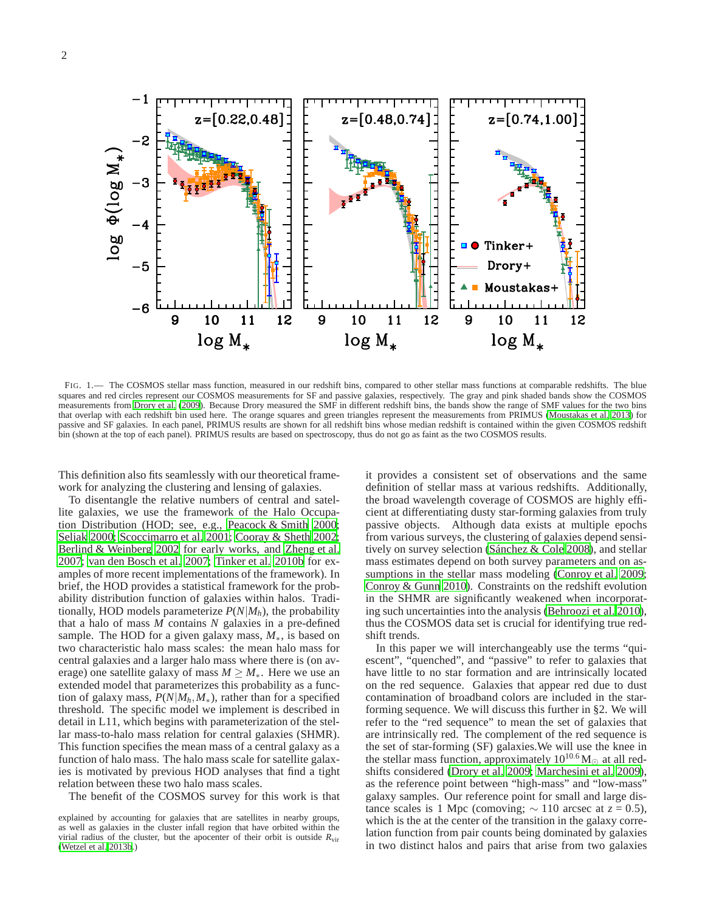

<span id="page-1-0"></span>FIG. 1.— The COSMOS stellar mass function, measured in our redshift bins, compared to other stellar mass functions at comparable redshifts. The blue squares and red circles represent our COSMOS measurements for SF and passive galaxies, respectively. The gray and pink shaded bands show the COSMOS measurements from [Drory et al. \(2009\)](#page-18-13). Because Drory measured the SMF in different redshift bins, the bands show the range of SMF values for the two bins that overlap with each redshift bin used here. The orange squares and green triangles represent the measurements from PRIMUS [\(Moustakas et al. 2013](#page-18-14)) for passive and SF galaxies. In each panel, PRIMUS results are shown for all redshift bins whose median redshift is contained within the given COSMOS redshift bin (shown at the top of each panel). PRIMUS results are based on spectroscopy, thus do not go as faint as the two COSMOS results.

This definition also fits seamlessly with our theoretical framework for analyzing the clustering and lensing of galaxies.

To disentangle the relative numbers of central and satellite galaxies, we use the framework of the Halo Occupation Distribution (HOD; see, e.g., [Peacock & Smith 2000;](#page-19-5) [Seljak 2000;](#page-19-6) [Scoccimarro et al. 2001](#page-19-7); [Cooray & Sheth 2002;](#page-18-15) [Berlind & Weinberg 2002](#page-17-4) for early works, and [Zheng et al.](#page-19-8) [2007;](#page-19-8) [van den Bosch et al. 2007;](#page-19-9) [Tinker et al. 2010b](#page-19-10) for examples of more recent implementations of the framework). In brief, the HOD provides a statistical framework for the probability distribution function of galaxies within halos. Traditionally, HOD models parameterize *P*(*N*|*Mh*), the probability that a halo of mass *M* contains *N* galaxies in a pre-defined sample. The HOD for a given galaxy mass, *M*∗, is based on two characteristic halo mass scales: the mean halo mass for central galaxies and a larger halo mass where there is (on average) one satellite galaxy of mass  $M \geq M_*$ . Here we use an extended model that parameterizes this probability as a function of galaxy mass,  $P(N|M_h, M_*)$ , rather than for a specified threshold. The specific model we implement is described in detail in L11, which begins with parameterization of the stellar mass-to-halo mass relation for central galaxies (SHMR). This function specifies the mean mass of a central galaxy as a function of halo mass. The halo mass scale for satellite galaxies is motivated by previous HOD analyses that find a tight relation between these two halo mass scales.

The benefit of the COSMOS survey for this work is that

it provides a consistent set of observations and the same definition of stellar mass at various redshifts. Additionally, the broad wavelength coverage of COSMOS are highly efficient at differentiating dusty star-forming galaxies from truly passive objects. Although data exists at multiple epochs from various surveys, the clustering of galaxies depend sensitively on survey selection [\(Sánchez & Cole 2008\)](#page-19-12), and stellar mass estimates depend on both survey parameters and on as-sumptions in the stellar mass modeling [\(Conroy et al. 2009](#page-18-16); [Conroy & Gunn 2010](#page-18-17)). Constraints on the redshift evolution in the SHMR are significantly weakened when incorporating such uncertainties into the analysis [\(Behroozi et al. 2010](#page-17-5)), thus the COSMOS data set is crucial for identifying true redshift trends.

In this paper we will interchangeably use the terms "quiescent", "quenched", and "passive" to refer to galaxies that have little to no star formation and are intrinsically located on the red sequence. Galaxies that appear red due to dust contamination of broadband colors are included in the starforming sequence. We will discuss this further in §2. We will refer to the "red sequence" to mean the set of galaxies that are intrinsically red. The complement of the red sequence is the set of star-forming (SF) galaxies.We will use the knee in the stellar mass function, approximately  $10^{10.6}$  M<sub> $\odot$ </sub> at all redshifts considered [\(Drory et al. 2009;](#page-18-13) [Marchesini et al. 2009](#page-18-18)), as the reference point between "high-mass" and "low-mass" galaxy samples. Our reference point for small and large distance scales is 1 Mpc (comoving;  $\sim$  110 arcsec at *z* = 0.5), which is the at the center of the transition in the galaxy correlation function from pair counts being dominated by galaxies in two distinct halos and pairs that arise from two galaxies

explained by accounting for galaxies that are satellites in nearby groups, as well as galaxies in the cluster infall region that have orbited within the virial radius of the cluster, but the apocenter of their orbit is outside  $R_{\text{vir}}$ [\(Wetzel et al. 2013b.](#page-19-11))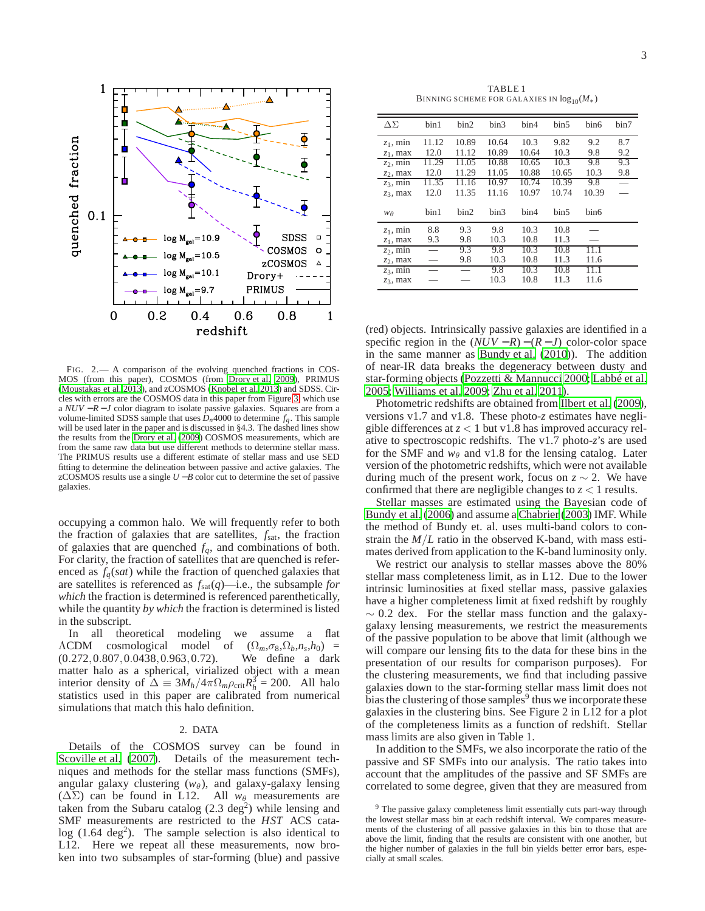

TABLE 1 BINNING SCHEME FOR GALAXIES IN  $log_{10}(M_*)$ 

| $\Delta\Sigma$ | bin1  | bin2  | bin3  | bin4  | bin5  | bin6  | bin7 |
|----------------|-------|-------|-------|-------|-------|-------|------|
| $z_1$ , min    | 11.12 | 10.89 | 10.64 | 10.3  | 9.82  | 9.2   | 8.7  |
| $z_1$ , max    | 12.0  | 11.12 | 10.89 | 10.64 | 10.3  | 9.8   | 9.2  |
| $z_2$ , min    | 11.29 | 11.05 | 10.88 | 10.65 | 10.3  | 9.8   | 9.3  |
| $z_2$ , max    | 12.0  | 11.29 | 11.05 | 10.88 | 10.65 | 10.3  | 9.8  |
| $z_3$ , min    | 11.35 | 11.16 | 10.97 | 10.74 | 10.39 | 9.8   |      |
| $z_3$ , max    | 12.0  | 11.35 | 11.16 | 10.97 | 10.74 | 10.39 |      |
| WA             | bin1  | bin2  | bin3  | bin4  | bin5  | bin6  |      |
| $z_1$ , min    | 8.8   | 9.3   | 9.8   | 10.3  | 10.8  |       |      |
| $z_1$ , max    | 9.3   | 9.8   | 10.3  | 10.8  | 11.3  |       |      |
| $z_2$ , min    |       | 9.3   | 9.8   | 10.3  | 10.8  | 11.1  |      |
| $z_2$ , max    |       | 9.8   | 10.3  | 10.8  | 11.3  | 11.6  |      |
| $z_3$ , min    |       |       | 9.8   | 10.3  | 10.8  | 11.1  |      |
| $z_3$ , max    |       |       | 10.3  | 10.8  | 11.3  | 11.6  |      |

<span id="page-2-1"></span>FIG. 2.— A comparison of the evolving quenched fractions in COS-MOS (from this paper), COSMOS (from [Drory et al. 2009](#page-18-13)), PRIMUS [\(Moustakas et al. 2013](#page-18-14)), and zCOSMOS [\(Knobel et al. 2013](#page-18-19)) and SDSS. Circles with errors are the COSMOS data in this paper from Figure [3,](#page-3-0) which use a *NUV* − *R* − *J* color diagram to isolate passive galaxies. Squares are from a volume-limited SDSS sample that uses  $\bar{D}_n$ 4000 to determine  $f_q$ . This sample will be used later in the paper and is discussed in §4.3. The dashed lines show the results from the [Drory et al. \(2009](#page-18-13)) COSMOS measurements, which are from the same raw data but use different methods to determine stellar mass. The PRIMUS results use a different estimate of stellar mass and use SED fitting to determine the delineation between passive and active galaxies. The zCOSMOS results use a single  $U - B$  color cut to determine the set of passive galaxies.

occupying a common halo. We will frequently refer to both the fraction of galaxies that are satellites, *f*sat, the fraction of galaxies that are quenched  $f_q$ , and combinations of both. For clarity, the fraction of satellites that are quenched is referenced as  $f_q(sat)$  while the fraction of quenched galaxies that are satellites is referenced as *f*sat(*q*)—i.e., the subsample *for which* the fraction is determined is referenced parenthetically, while the quantity *by which* the fraction is determined is listed in the subscript.

In all theoretical modeling we assume a flat  $\Lambda$ CDM cosmological model of  $(\Omega_m, \sigma_8, \Omega_b, n_s, h_0)$  = (0.272,0.807,0.0438,0.963,0.72). We define a dark matter halo as a spherical, virialized object with a mean interior density of  $\Delta \equiv 3M_h/4\pi \Omega_m \rho_{crit} R_h^3 = 200$ . All halo statistics used in this paper are calibrated from numerical simulations that match this halo definition.

#### 2. DATA

<span id="page-2-0"></span>Details of the COSMOS survey can be found in [Scoville et al. \(2007\)](#page-19-3). Details of the measurement techniques and methods for the stellar mass functions (SMFs), angular galaxy clustering  $(w_\theta)$ , and galaxy-galaxy lensing  $(\Delta \Sigma)$  can be found in L12. All  $w_{\theta}$  measurements are taken from the Subaru catalog  $(2.3 \text{ deg}^2)$  while lensing and SMF measurements are restricted to the *HST* ACS cata $log(1.64 \text{ deg}^2)$ . The sample selection is also identical to L12. Here we repeat all these measurements, now broken into two subsamples of star-forming (blue) and passive

(red) objects. Intrinsically passive galaxies are identified in a specific region in the  $(NUV - R) - (R - J)$  color-color space in the same manner as [Bundy et al.](#page-18-20) [\(2010\)](#page-18-20)). The addition of near-IR data breaks the degeneracy between dusty and star-forming objects [\(Pozzetti & Mannucci 2000](#page-19-13); [Labbé et al.](#page-18-21) [2005;](#page-18-21) [Williams et al. 2009](#page-19-2); [Zhu et al. 2011\)](#page-19-14).

Photometric redshifts are obtained from [Ilbert et al. \(2009](#page-18-22)), versions v1.7 and v1.8. These photo-*z* estimates have negligible differences at *z* < 1 but v1.8 has improved accuracy relative to spectroscopic redshifts. The v1.7 photo-*z*'s are used for the SMF and  $w_{\theta}$  and v1.8 for the lensing catalog. Later version of the photometric redshifts, which were not available during much of the present work, focus on  $z \sim 2$ . We have confirmed that there are negligible changes to  $z < 1$  results.

Stellar masses are estimated using the Bayesian code of [Bundy et al. \(2006\)](#page-18-23) and assume a [Chabrier \(2003\)](#page-18-24) IMF. While the method of Bundy et. al. uses multi-band colors to constrain the *M*/*L* ratio in the observed K-band, with mass estimates derived from application to the K-band luminosity only.

We restrict our analysis to stellar masses above the 80% stellar mass completeness limit, as in L12. Due to the lower intrinsic luminosities at fixed stellar mass, passive galaxies have a higher completeness limit at fixed redshift by roughly  $\sim$  0.2 dex. For the stellar mass function and the galaxygalaxy lensing measurements, we restrict the measurements of the passive population to be above that limit (although we will compare our lensing fits to the data for these bins in the presentation of our results for comparison purposes). For the clustering measurements, we find that including passive galaxies down to the star-forming stellar mass limit does not bias the clustering of those samples $9$  thus we incorporate these galaxies in the clustering bins. See Figure 2 in L12 for a plot of the completeness limits as a function of redshift. Stellar mass limits are also given in Table 1.

In addition to the SMFs, we also incorporate the ratio of the passive and SF SMFs into our analysis. The ratio takes into account that the amplitudes of the passive and SF SMFs are correlated to some degree, given that they are measured from

<sup>&</sup>lt;sup>9</sup> The passive galaxy completeness limit essentially cuts part-way through the lowest stellar mass bin at each redshift interval. We compares measurements of the clustering of all passive galaxies in this bin to those that are above the limit, finding that the results are consistent with one another, but the higher number of galaxies in the full bin yields better error bars, especially at small scales.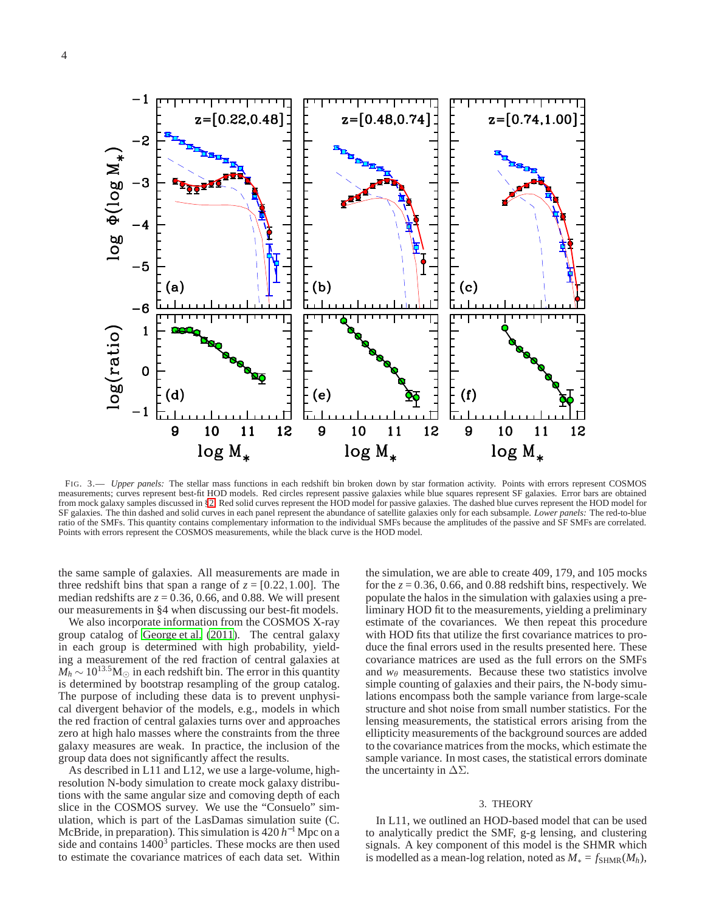

<span id="page-3-0"></span>FIG. 3.— *Upper panels:* The stellar mass functions in each redshift bin broken down by star formation activity. Points with errors represent COSMOS measurements; curves represent best-fit HOD models. Red circles represent passive galaxies while blue squares represent SF galaxies. Error bars are obtained from mock galaxy samples discussed in [§2.](#page-2-0) Red solid curves represent the HOD model for passive galaxies. The dashed blue curves represent the HOD model for SF galaxies. The thin dashed and solid curves in each panel represent the abundance of satellite galaxies only for each subsample. *Lower panels:* The red-to-blue ratio of the SMFs. This quantity contains complementary information to the individual SMFs because the amplitudes of the passive and SF SMFs are correlated. Points with errors represent the COSMOS measurements, while the black curve is the HOD model.

the same sample of galaxies. All measurements are made in three redshift bins that span a range of  $z = [0.22, 1.00]$ . The median redshifts are  $z = 0.36, 0.66$ , and 0.88. We will present our measurements in §4 when discussing our best-fit models.

We also incorporate information from the COSMOS X-ray group catalog of [George et al. \(2011\)](#page-18-25). The central galaxy in each group is determined with high probability, yielding a measurement of the red fraction of central galaxies at  $M_h \sim 10^{13.5}$ M<sub>⊙</sub> in each redshift bin. The error in this quantity is determined by bootstrap resampling of the group catalog. The purpose of including these data is to prevent unphysical divergent behavior of the models, e.g., models in which the red fraction of central galaxies turns over and approaches zero at high halo masses where the constraints from the three galaxy measures are weak. In practice, the inclusion of the group data does not significantly affect the results.

As described in L11 and L12, we use a large-volume, highresolution N-body simulation to create mock galaxy distributions with the same angular size and comoving depth of each slice in the COSMOS survey. We use the "Consuelo" simulation, which is part of the LasDamas simulation suite (C. McBride, in preparation). This simulation is  $420 h^{-1}$  Mpc on a side and contains  $1400<sup>3</sup>$  particles. These mocks are then used to estimate the covariance matrices of each data set. Within

the simulation, we are able to create 409, 179, and 105 mocks for the  $z = 0.36$ , 0.66, and 0.88 redshift bins, respectively. We populate the halos in the simulation with galaxies using a preliminary HOD fit to the measurements, yielding a preliminary estimate of the covariances. We then repeat this procedure with HOD fits that utilize the first covariance matrices to produce the final errors used in the results presented here. These covariance matrices are used as the full errors on the SMFs and  $w_{\theta}$  measurements. Because these two statistics involve simple counting of galaxies and their pairs, the N-body simulations encompass both the sample variance from large-scale structure and shot noise from small number statistics. For the lensing measurements, the statistical errors arising from the ellipticity measurements of the background sources are added to the covariance matrices from the mocks, which estimate the sample variance. In most cases, the statistical errors dominate the uncertainty in  $\Delta\Sigma$ .

#### 3. THEORY

In L11, we outlined an HOD-based model that can be used to analytically predict the SMF, g-g lensing, and clustering signals. A key component of this model is the SHMR which is modelled as a mean-log relation, noted as  $M_* = f_{SHMR}(M_h)$ ,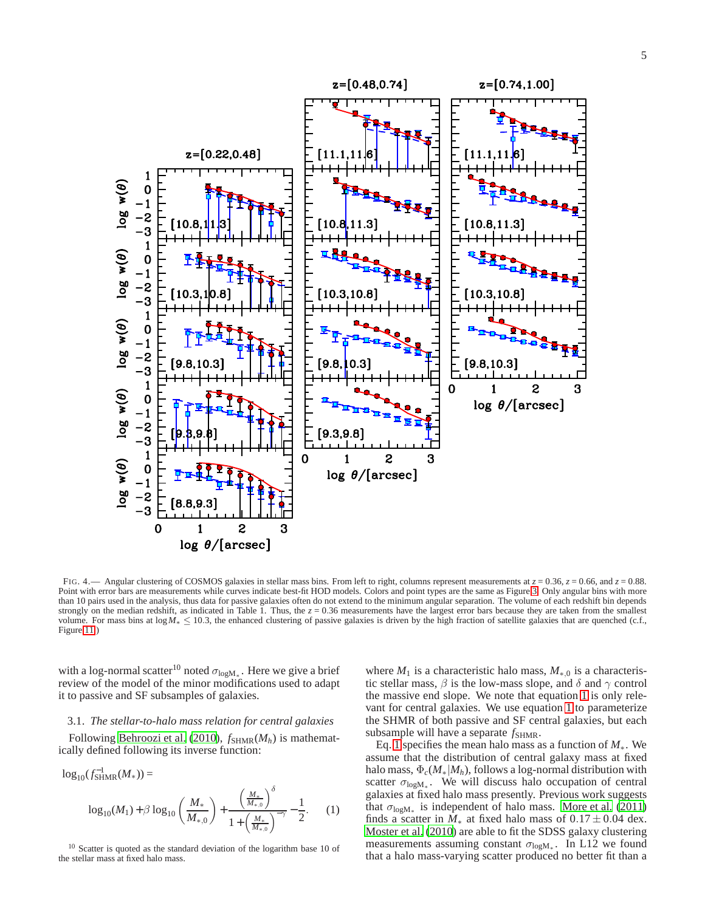

<span id="page-4-1"></span>FIG. 4.— Angular clustering of COSMOS galaxies in stellar mass bins. From left to right, columns represent measurements at  $z = 0.36$ ,  $z = 0.66$ , and  $z = 0.88$ . Point with error bars are measurements while curves indicate best-fit HOD models. Colors and point types are the same as Figure [3.](#page-3-0) Only angular bins with more than 10 pairs used in the analysis, thus data for passive galaxies often do not extend to the minimum angular separation. The volume of each redshift bin depends strongly on the median redshift, as indicated in Table 1. Thus, the  $z = 0.36$  measurements have the largest error bars because they are taken from the smallest volume. For mass bins at log*M*∗ ≤ 10.3, the enhanced clustering of passive galaxies is driven by the high fraction of satellite galaxies that are quenched (c.f., Figure [11.](#page-14-0))

with a log-normal scatter<sup>10</sup> noted  $\sigma_{\text{log}M_*}$ . Here we give a brief review of the model of the minor modifications used to adapt it to passive and SF subsamples of galaxies.

# 3.1. *The stellar-to-halo mass relation for central galaxies*

Following [Behroozi et al.](#page-17-5) [\(2010\)](#page-17-5),  $f_{\text{SHMR}}(M_h)$  is mathematically defined following its inverse function:

<span id="page-4-0"></span>
$$
\log_{10}(f_{\text{SHMR}}^{-1}(M_{*})) =
$$
  

$$
\log_{10}(M_{1}) + \beta \log_{10}\left(\frac{M_{*}}{M_{*0}}\right) + \frac{\left(\frac{M_{*}}{M_{*0}}\right)^{\delta}}{1 + \left(\frac{M_{*}}{M_{*0}}\right)^{-\gamma}} - \frac{1}{2}.
$$
 (1)

<sup>10</sup> Scatter is quoted as the standard deviation of the logarithm base 10 of the stellar mass at fixed halo mass.

where  $M_1$  is a characteristic halo mass,  $M_{\ast,0}$  is a characteristic stellar mass,  $\beta$  is the low-mass slope, and  $\delta$  and  $\gamma$  control the massive end slope. We note that equation [1](#page-4-0) is only relevant for central galaxies. We use equation [1](#page-4-0) to parameterize the SHMR of both passive and SF central galaxies, but each subsample will have a separate  $f_{\text{SHMR}}$ .

Eq. [1](#page-4-0) specifies the mean halo mass as a function of *M*∗. We assume that the distribution of central galaxy mass at fixed halo mass,  $\Phi_c(M_*/M_h)$ , follows a log-normal distribution with scatter  $\sigma_{\log M_*}$ . We will discuss halo occupation of central galaxies at fixed halo mass presently. Previous work suggests that  $\sigma_{\text{logM}_{*}}$  is independent of halo mass. [More et al.](#page-18-26) [\(2011\)](#page-18-26) finds a scatter in  $M_*$  at fixed halo mass of  $0.17 \pm 0.04$  dex. [Moster et al. \(2010](#page-18-27)) are able to fit the SDSS galaxy clustering measurements assuming constant  $\sigma_{\text{log}M_*}$ . In L12 we found that a halo mass-varying scatter produced no better fit than a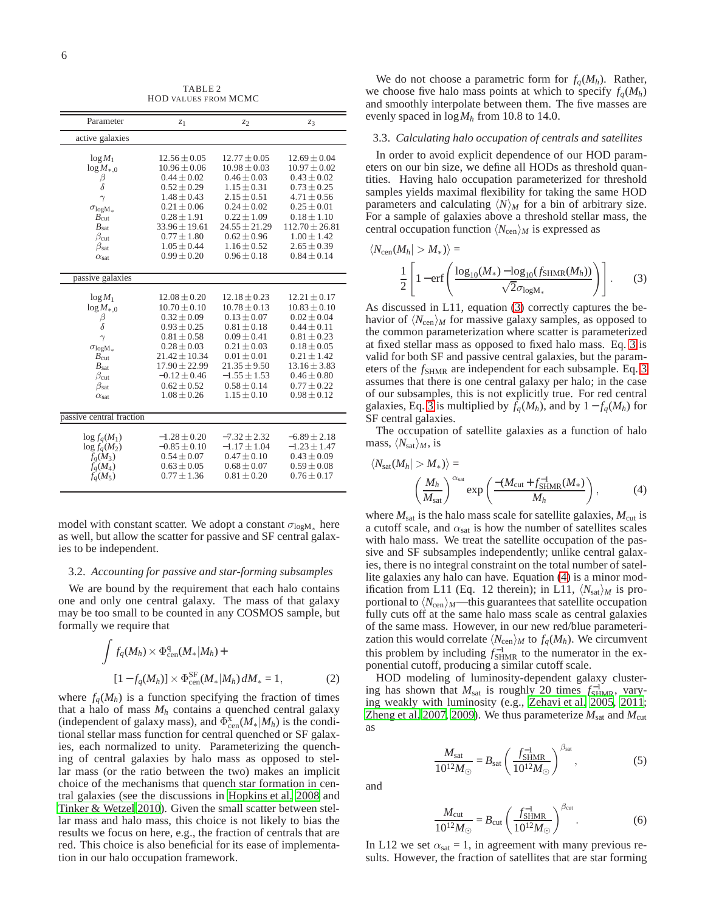TABLE 2 HOD VALUES FROM MCMC

<span id="page-5-2"></span>

| Parameter                | $z_1$             | $z_2$             | Z3                 |
|--------------------------|-------------------|-------------------|--------------------|
| active galaxies          |                   |                   |                    |
|                          |                   |                   |                    |
| $log M_1$                | $12.56 \pm 0.05$  | $12.77 \pm 0.05$  | $12.69 \pm 0.04$   |
| $\log M_{\ast,0}$        | $10.96 \pm 0.06$  | $10.98 \pm 0.03$  | $10.97 \pm 0.02$   |
| β                        | $0.44 \pm 0.02$   | $0.46 \pm 0.03$   | $0.43 \pm 0.02$    |
| δ                        | $0.52 \pm 0.29$   | $1.15 \pm 0.31$   | $0.73 \pm 0.25$    |
| $\gamma$                 | $1.48 \pm 0.43$   | $2.15 \pm 0.51$   | $4.71 \pm 0.56$    |
| $\sigma_{\rm log M_{*}}$ | $0.21 \pm 0.06$   | $0.24 \pm 0.02$   | $0.25 \pm 0.01$    |
| $B_{\text{cut}}$         | $0.28 \pm 1.91$   | $0.22 \pm 1.09$   | $0.18 \pm 1.10$    |
| $B_{\text{sat}}$         | $33.96 \pm 19.61$ | $24.55 \pm 21.29$ | $112.70 \pm 26.81$ |
| $\beta_{\rm cut}$        | $0.77 \pm 1.80$   | $0.62 \pm 0.96$   | $1.00 \pm 1.42$    |
| $\beta_{\text{sat}}$     | $1.05 \pm 0.44$   | $1.16 \pm 0.52$   | $2.65 \pm 0.39$    |
| $\alpha_{\rm sat}$       | $0.99 \pm 0.20$   | $0.96 \pm 0.18$   | $0.84 \pm 0.14$    |
|                          |                   |                   |                    |
| passive galaxies         |                   |                   |                    |
|                          |                   |                   |                    |
| $log M_1$                | $12.08 \pm 0.20$  | $12.18 \pm 0.23$  | $12.21 \pm 0.17$   |
| $\log M_{*,0}$           | $10.70 \pm 0.10$  | $10.78 \pm 0.13$  | $10.83 \pm 0.10$   |
| β                        | $0.32 \pm 0.09$   | $0.13 \pm 0.07$   | $0.02 \pm 0.04$    |
| $\delta$                 | $0.93 \pm 0.25$   | $0.81 \pm 0.18$   | $0.44 \pm 0.11$    |
| $\gamma$                 | $0.81 \pm 0.58$   | $0.09 \pm 0.41$   | $0.81 \pm 0.23$    |
| $\sigma_{\rm log M_{*}}$ | $0.28 \pm 0.03$   | $0.21 \pm 0.03$   | $0.18 \pm 0.05$    |
| $B_{\rm cut}$            | $21.42 \pm 10.34$ | $0.01 \pm 0.01$   | $0.21 \pm 1.42$    |
| $B_{\text{sat}}$         | $17.90 \pm 22.99$ | $21.35 \pm 9.50$  | $13.16 \pm 3.83$   |
| $\beta_{\rm cut}$        | $-0.12 \pm 0.46$  | $-1.55 \pm 1.53$  | $0.46 \pm 0.80$    |
| $\beta_{\text{sat}}$     | $0.62 \pm 0.52$   | $0.58 \pm 0.14$   | $0.77 \pm 0.22$    |
| $\alpha_{\text{sat}}$    | $1.08 \pm 0.26$   | $1.15 \pm 0.10$   | $0.98 \pm 0.12$    |
|                          |                   |                   |                    |
| passive central fraction |                   |                   |                    |
| $\log f_a(M_1)$          | $-1.28 \pm 0.20$  | $-7.32 \pm 2.32$  | $-6.89 \pm 2.18$   |
| $\log f_q(M_2)$          | $-0.85 \pm 0.10$  | $-1.17 \pm 1.04$  | $-1.23 \pm 1.47$   |
| $f_q(M_3)$               | $0.54 \pm 0.07$   | $0.47 \pm 0.10$   | $0.43 \pm 0.09$    |
| $f_a(M_4)$               | $0.63 \pm 0.05$   | $0.68 \pm 0.07$   | $0.59 \pm 0.08$    |
| $f_a(M_5)$               | $0.77 \pm 1.36$   | $0.81 \pm 0.20$   | $0.76 \pm 0.17$    |
|                          |                   |                   |                    |

model with constant scatter. We adopt a constant  $\sigma_{\text{log}M*}$  here as well, but allow the scatter for passive and SF central galaxies to be independent.

#### 3.2. *Accounting for passive and star-forming subsamples*

We are bound by the requirement that each halo contains one and only one central galaxy. The mass of that galaxy may be too small to be counted in any COSMOS sample, but formally we require that

$$
\int f_q(M_h) \times \Phi_{\text{cen}}^q(M_*/M_h) +
$$
  
\n[1 - f\_q(M\_h)] \times \Phi\_{\text{cen}}^{SF}(M\_\*/M\_h) dM\_\* = 1, (2)

where  $f_a(M_h)$  is a function specifying the fraction of times that a halo of mass  $M_h$  contains a quenched central galaxy (independent of galaxy mass), and  $\Phi_{\text{cen}}^{\mathbf{x}}(M_*|M_h)$  is the conditional stellar mass function for central quenched or SF galaxies, each normalized to unity. Parameterizing the quenching of central galaxies by halo mass as opposed to stellar mass (or the ratio between the two) makes an implicit choice of the mechanisms that quench star formation in central galaxies (see the discussions in [Hopkins et al. 2008](#page-18-9) and [Tinker & Wetzel 2010\)](#page-19-15). Given the small scatter between stellar mass and halo mass, this choice is not likely to bias the results we focus on here, e.g., the fraction of centrals that are red. This choice is also beneficial for its ease of implementation in our halo occupation framework.

We do not choose a parametric form for  $f_q(M_h)$ . Rather, we choose five halo mass points at which to specify  $f_q(M_h)$ and smoothly interpolate between them. The five masses are evenly spaced in log*M<sup>h</sup>* from 10.8 to 14.0.

### 3.3. *Calculating halo occupation of centrals and satellites*

In order to avoid explicit dependence of our HOD parameters on our bin size, we define all HODs as threshold quantities. Having halo occupation parameterized for threshold samples yields maximal flexibility for taking the same HOD parameters and calculating  $\langle N \rangle_M$  for a bin of arbitrary size. For a sample of galaxies above a threshold stellar mass, the central occupation function  $\langle N_{\rm cen} \rangle_M$  is expressed as

<span id="page-5-0"></span>
$$
\langle N_{\text{cen}}(M_h| > M_*) \rangle =
$$
  

$$
\frac{1}{2} \left[ 1 - \text{erf} \left( \frac{\log_{10}(M_*) - \log_{10}(f_{\text{SHMR}}(M_h))}{\sqrt{2} \sigma_{\text{log}M_*}} \right) \right].
$$
 (3)

As discussed in L11, equation [\(3\)](#page-5-0) correctly captures the behavior of  $\langle N_{\rm cen} \rangle_M$  for massive galaxy samples, as opposed to the common parameterization where scatter is parameterized at fixed stellar mass as opposed to fixed halo mass. Eq. [3](#page-5-0) is valid for both SF and passive central galaxies, but the parameters of the  $f<sub>SHMR</sub>$  are independent for each subsample. Eq. [3](#page-5-0) assumes that there is one central galaxy per halo; in the case of our subsamples, this is not explicitly true. For red central galaxies, Eq. [3](#page-5-0) is multiplied by  $f_q(M_h)$ , and by  $1 - f_q(M_h)$  for SF central galaxies.

The occupation of satellite galaxies as a function of halo mass,  $\langle N_{\text{sat}} \rangle_M$ , is

<span id="page-5-1"></span>
$$
\langle N_{\rm sat}(M_h| > M_*) \rangle =
$$
  

$$
\left(\frac{M_h}{M_{\rm sat}}\right)^{\alpha_{\rm sat}} \exp\left(\frac{-(M_{\rm cut} + f_{\rm SHMR}^{-1}(M_*)}{M_h})\right),
$$
 (4)

where  $M_{\text{sat}}$  is the halo mass scale for satellite galaxies,  $M_{\text{cut}}$  is a cutoff scale, and  $\alpha_{\text{sat}}$  is how the number of satellites scales with halo mass. We treat the satellite occupation of the passive and SF subsamples independently; unlike central galaxies, there is no integral constraint on the total number of satellite galaxies any halo can have. Equation [\(4\)](#page-5-1) is a minor modification from L11 (Eq. 12 therein); in L11,  $\langle N_{\text{sat}} \rangle_M$  is proportional to  $\langle N_{\rm cen} \rangle_M$ —this guarantees that satellite occupation fully cuts off at the same halo mass scale as central galaxies of the same mass. However, in our new red/blue parameterization this would correlate  $\langle N_{\text{cen}} \rangle_M$  to  $f_q(M_h)$ . We circumvent this problem by including  $f_{\text{SHMR}}^{-1}$  to the numerator in the exponential cutoff, producing a similar cutoff scale.

HOD modeling of luminosity-dependent galaxy clustering has shown that  $M_{\text{sat}}$  is roughly 20 times  $f_{\text{SHMR}}^{-1}$ , varying weakly with luminosity (e.g., [Zehavi et al. 2005,](#page-19-16) [2011](#page-19-17); [Zheng et al. 2007](#page-19-8), [2009\)](#page-19-18). We thus parameterize  $M_{\text{sat}}$  and  $M_{\text{cut}}$ as

$$
\frac{M_{\text{sat}}}{10^{12} M_{\odot}} = B_{\text{sat}} \left( \frac{f_{\text{SHMR}}^{-1}}{10^{12} M_{\odot}} \right)^{\beta_{\text{sat}}},\tag{5}
$$

and

$$
\frac{M_{\text{cut}}}{10^{12}M_{\odot}} = B_{\text{cut}} \left(\frac{f_{\text{SHMR}}^{-1}}{10^{12}M_{\odot}}\right)^{\beta_{\text{cut}}}.
$$
 (6)

In L12 we set  $\alpha_{\text{sat}} = 1$ , in agreement with many previous results. However, the fraction of satellites that are star forming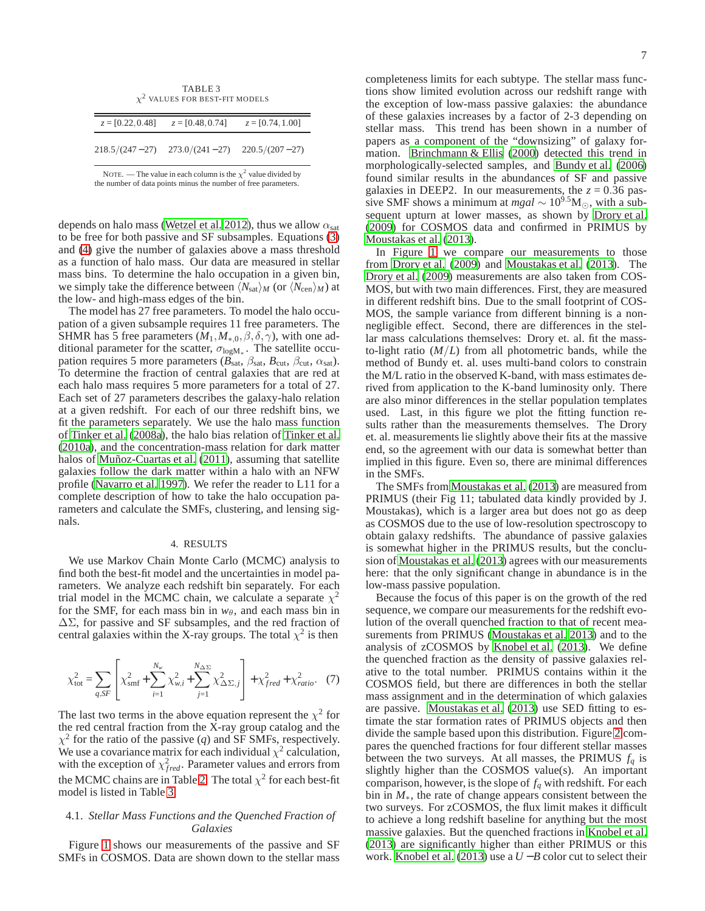<span id="page-6-0"></span>

| TABLE 3<br>$\chi^2$ VALUES FOR BEST-FIT MODELS |                                                          |  |  |  |  |  |
|------------------------------------------------|----------------------------------------------------------|--|--|--|--|--|
|                                                | $z = [0.22, 0.48]$ $z = [0.48, 0.74]$ $z = [0.74, 1.00]$ |  |  |  |  |  |
|                                                | $218.5/(247-27)$ $273.0/(241-27)$ $220.5/(207-27)$       |  |  |  |  |  |

NOTE. — The value in each column is the  $\chi^2$  value divided by the number of data points minus the number of free parameters.

depends on halo mass [\(Wetzel et al. 2012\)](#page-19-19), thus we allow  $\alpha_{\text{sat}}$ to be free for both passive and SF subsamples. Equations [\(3\)](#page-5-0) and [\(4\)](#page-5-1) give the number of galaxies above a mass threshold as a function of halo mass. Our data are measured in stellar mass bins. To determine the halo occupation in a given bin, we simply take the difference between  $\langle N_{\rm sat} \rangle_M$  (or  $\langle N_{\rm cen} \rangle_M$ ) at the low- and high-mass edges of the bin.

The model has 27 free parameters. To model the halo occupation of a given subsample requires 11 free parameters. The SHMR has 5 free parameters  $(M_1, M_{*,0}, \beta, \delta, \gamma)$ , with one additional parameter for the scatter,  $\sigma_{\text{logM}_{*}}$ . The satellite occupation requires 5 more parameters ( $B_{\text{sat}}$ ,  $\beta_{\text{sat}}$ ,  $B_{\text{cut}}$ ,  $\beta_{\text{cut}}$ ,  $\alpha_{\text{sat}}$ ). To determine the fraction of central galaxies that are red at each halo mass requires 5 more parameters for a total of 27. Each set of 27 parameters describes the galaxy-halo relation at a given redshift. For each of our three redshift bins, we fit the parameters separately. We use the halo mass function of [Tinker et al. \(2008a\)](#page-19-20), the halo bias relation of [Tinker et al.](#page-19-21) [\(2010a\)](#page-19-21), and the concentration-mass relation for dark matter halos of [Muñoz-Cuartas et al.](#page-18-28) [\(2011\)](#page-18-28), assuming that satellite galaxies follow the dark matter within a halo with an NFW profile [\(Navarro et al. 1997](#page-18-29)). We refer the reader to L11 for a complete description of how to take the halo occupation parameters and calculate the SMFs, clustering, and lensing signals.

# 4. RESULTS

We use Markov Chain Monte Carlo (MCMC) analysis to find both the best-fit model and the uncertainties in model parameters. We analyze each redshift bin separately. For each trial model in the MCMC chain, we calculate a separate  $\chi^2$ for the SMF, for each mass bin in  $w_{\theta}$ , and each mass bin in ∆Σ, for passive and SF subsamples, and the red fraction of central galaxies within the X-ray groups. The total  $\chi^2$  is then

$$
\chi_{\text{tot}}^2 = \sum_{q, SF} \left[ \chi_{\text{smf}}^2 + \sum_{i=1}^{N_w} \chi_{w,i}^2 + \sum_{j=1}^{N_{\Delta\Sigma}} \chi_{\Delta\Sigma, j}^2 \right] + \chi_{fred}^2 + \chi_{ratio}^2. \tag{7}
$$

The last two terms in the above equation represent the  $\chi^2$  for the red central fraction from the X-ray group catalog and the  $\chi^2$  for the ratio of the passive (*q*) and SF SMFs, respectively. We use a covariance matrix for each individual  $\chi^2$  calculation, with the exception of  $\chi^2_{fred}$ . Parameter values and errors from the MCMC chains are in Table [2.](#page-5-2) The total  $\chi^2$  for each best-fit model is listed in Table [3.](#page-6-0)

## 4.1. *Stellar Mass Functions and the Quenched Fraction of Galaxies*

Figure [1](#page-1-0) shows our measurements of the passive and SF SMFs in COSMOS. Data are shown down to the stellar mass

completeness limits for each subtype. The stellar mass functions show limited evolution across our redshift range with the exception of low-mass passive galaxies: the abundance of these galaxies increases by a factor of 2-3 depending on stellar mass. This trend has been shown in a number of papers as a component of the "downsizing" of galaxy formation. [Brinchmann & Ellis \(2000\)](#page-17-6) detected this trend in morphologically-selected samples, and [Bundy et al.](#page-18-23) [\(2006\)](#page-18-23) found similar results in the abundances of SF and passive galaxies in DEEP2. In our measurements, the  $z = 0.36$  passive SMF shows a minimum at  $mgal \sim 10^{9.5} M_{\odot}$ , with a subsequent upturn at lower masses, as shown by [Drory et al.](#page-18-13) [\(2009\)](#page-18-13) for COSMOS data and confirmed in PRIMUS by [Moustakas et al. \(2013\)](#page-18-14).

In Figure [1](#page-1-0) we compare our measurements to those from [Drory et al. \(2009](#page-18-13)) and [Moustakas et al.](#page-18-14) [\(2013\)](#page-18-14). The [Drory et al. \(2009\)](#page-18-13) measurements are also taken from COS-MOS, but with two main differences. First, they are measured in different redshift bins. Due to the small footprint of COS-MOS, the sample variance from different binning is a nonnegligible effect. Second, there are differences in the stellar mass calculations themselves: Drory et. al. fit the massto-light ratio (*M*/*L*) from all photometric bands, while the method of Bundy et. al. uses multi-band colors to constrain the M/L ratio in the observed K-band, with mass estimates derived from application to the K-band luminosity only. There are also minor differences in the stellar population templates used. Last, in this figure we plot the fitting function results rather than the measurements themselves. The Drory et. al. measurements lie slightly above their fits at the massive end, so the agreement with our data is somewhat better than implied in this figure. Even so, there are minimal differences in the SMFs.

The SMFs from [Moustakas et al. \(2013\)](#page-18-14) are measured from PRIMUS (their Fig 11; tabulated data kindly provided by J. Moustakas), which is a larger area but does not go as deep as COSMOS due to the use of low-resolution spectroscopy to obtain galaxy redshifts. The abundance of passive galaxies is somewhat higher in the PRIMUS results, but the conclusion of [Moustakas et al. \(2013\)](#page-18-14) agrees with our measurements here: that the only significant change in abundance is in the low-mass passive population.

Because the focus of this paper is on the growth of the red sequence, we compare our measurements for the redshift evolution of the overall quenched fraction to that of recent measurements from PRIMUS [\(Moustakas et al. 2013](#page-18-14)) and to the analysis of zCOSMOS by [Knobel et al.](#page-18-19) [\(2013\)](#page-18-19). We define the quenched fraction as the density of passive galaxies relative to the total number. PRIMUS contains within it the COSMOS field, but there are differences in both the stellar mass assignment and in the determination of which galaxies are passive. [Moustakas et al. \(2013\)](#page-18-14) use SED fitting to estimate the star formation rates of PRIMUS objects and then divide the sample based upon this distribution. Figure [2](#page-2-1) compares the quenched fractions for four different stellar masses between the two surveys. At all masses, the PRIMUS  $f_a$  is slightly higher than the COSMOS value(s). An important comparison, however, is the slope of *f<sup>q</sup>* with redshift. For each bin in *M*∗, the rate of change appears consistent between the two surveys. For zCOSMOS, the flux limit makes it difficult to achieve a long redshift baseline for anything but the most massive galaxies. But the quenched fractions in [Knobel et al.](#page-18-19) [\(2013\)](#page-18-19) are significantly higher than either PRIMUS or this work. [Knobel et al. \(2013](#page-18-19)) use a *U* −*B* color cut to select their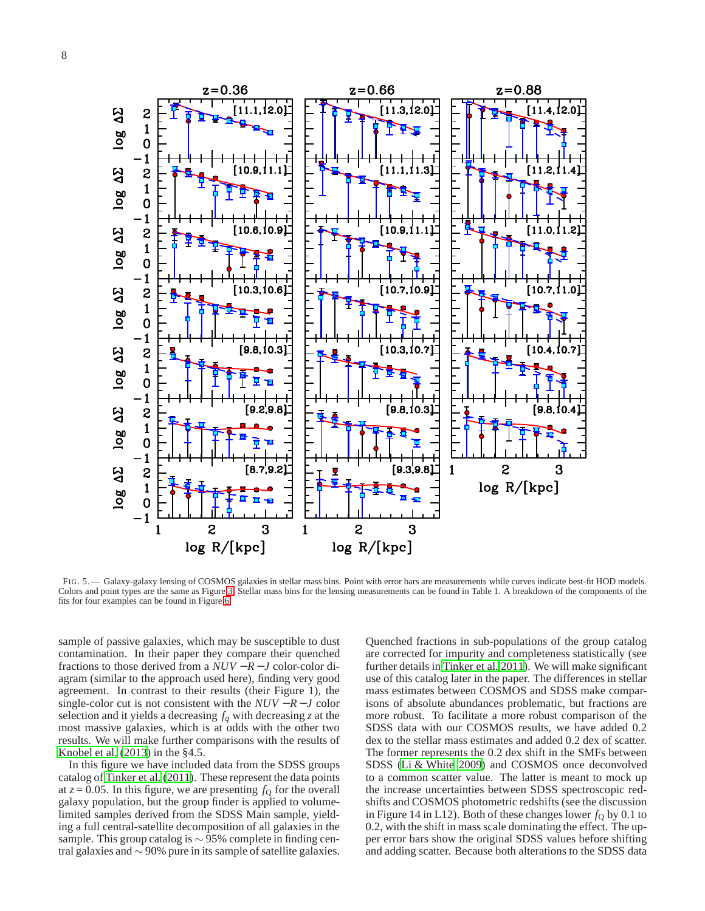

<span id="page-7-0"></span>FIG. 5.— Galaxy-galaxy lensing of COSMOS galaxies in stellar mass bins. Point with error bars are measurements while curves indicate best-fit HOD models. Colors and point types are the same as Figure [3.](#page-3-0) Stellar mass bins for the lensing measurements can be found in Table 1. A breakdown of the components of the fits for four examples can be found in Figure [6.](#page-8-0)

sample of passive galaxies, which may be susceptible to dust contamination. In their paper they compare their quenched fractions to those derived from a *NUV* − *R* − *J* color-color diagram (similar to the approach used here), finding very good agreement. In contrast to their results (their Figure 1), the single-color cut is not consistent with the  $NUV - R - J$  color selection and it yields a decreasing *f<sup>q</sup>* with decreasing *z* at the most massive galaxies, which is at odds with the other two results. We will make further comparisons with the results of [Knobel et al.](#page-18-19) [\(2013\)](#page-18-19) in the §4.5.

In this figure we have included data from the SDSS groups catalog of [Tinker et al. \(2011\)](#page-19-22). These represent the data points at  $z = 0.05$ . In this figure, we are presenting  $f<sub>Q</sub>$  for the overall galaxy population, but the group finder is applied to volumelimited samples derived from the SDSS Main sample, yielding a full central-satellite decomposition of all galaxies in the sample. This group catalog is  $\sim$  95% complete in finding central galaxies and ∼ 90% pure in its sample of satellite galaxies.

Quenched fractions in sub-populations of the group catalog are corrected for impurity and completeness statistically (see further details in [Tinker et al. 2011](#page-19-22)). We will make significant use of this catalog later in the paper. The differences in stellar mass estimates between COSMOS and SDSS make comparisons of absolute abundances problematic, but fractions are more robust. To facilitate a more robust comparison of the SDSS data with our COSMOS results, we have added 0.2 dex to the stellar mass estimates and added 0.2 dex of scatter. The former represents the 0.2 dex shift in the SMFs between SDSS [\(Li & White 2009\)](#page-18-30) and COSMOS once deconvolved to a common scatter value. The latter is meant to mock up the increase uncertainties between SDSS spectroscopic redshifts and COSMOS photometric redshifts (see the discussion in Figure 14 in L12). Both of these changes lower  $f<sub>Q</sub>$  by 0.1 to 0.2, with the shift in mass scale dominating the effect. The upper error bars show the original SDSS values before shifting and adding scatter. Because both alterations to the SDSS data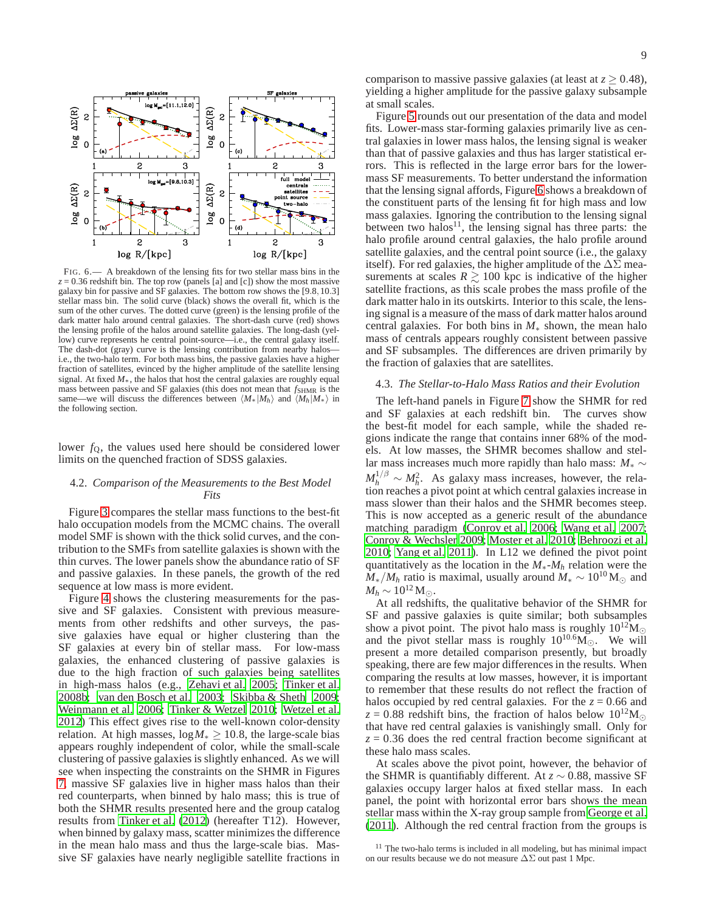

<span id="page-8-0"></span>FIG. 6.— A breakdown of the lensing fits for two stellar mass bins in the *z* = 0.36 redshift bin. The top row (panels [a] and [c]) show the most massive galaxy bin for passive and  $S\bar{F}$  galaxies. The bottom row shows the [9.8,10.3] stellar mass bin. The solid curve (black) shows the overall fit, which is the sum of the other curves. The dotted curve (green) is the lensing profile of the dark matter halo around central galaxies. The short-dash curve (red) shows the lensing profile of the halos around satellite galaxies. The long-dash (yellow) curve represents he central point-source—i.e., the central galaxy itself. The dash-dot (gray) curve is the lensing contribution from nearby halos i.e., the two-halo term. For both mass bins, the passive galaxies have a higher fraction of satellites, evinced by the higher amplitude of the satellite lensing signal. At fixed *M*∗, the halos that host the central galaxies are roughly equal mass between passive and SF galaxies (this does not mean that  $f_{\text{SHMR}}$  is the same—we will discuss the differences between  $\langle M_*|M_h\rangle$  and  $\langle M_h|M_*\rangle$  in the following section.

lower  $f<sub>0</sub>$ , the values used here should be considered lower limits on the quenched fraction of SDSS galaxies.

### 4.2. *Comparison of the Measurements to the Best Model Fits*

Figure [3](#page-3-0) compares the stellar mass functions to the best-fit halo occupation models from the MCMC chains. The overall model SMF is shown with the thick solid curves, and the contribution to the SMFs from satellite galaxies is shown with the thin curves. The lower panels show the abundance ratio of SF and passive galaxies. In these panels, the growth of the red sequence at low mass is more evident.

Figure [4](#page-4-1) shows the clustering measurements for the passive and SF galaxies. Consistent with previous measurements from other redshifts and other surveys, the passive galaxies have equal or higher clustering than the SF galaxies at every bin of stellar mass. For low-mass galaxies, the enhanced clustering of passive galaxies is due to the high fraction of such galaxies being satellites in high-mass halos (e.g., [Zehavi et al. 2005;](#page-19-16) [Tinker et al.](#page-19-23) [2008b;](#page-19-23) [van den Bosch et al. 2003;](#page-19-24) [Skibba & Sheth 2009;](#page-19-25) [Weinmann et al. 2006](#page-19-26); [Tinker & Wetzel 2010;](#page-19-15) [Wetzel et al.](#page-19-19) [2012\)](#page-19-19) This effect gives rise to the well-known color-density relation. At high masses,  $log M_* \ge 10.8$ , the large-scale bias appears roughly independent of color, while the small-scale clustering of passive galaxies is slightly enhanced. As we will see when inspecting the constraints on the SHMR in Figures [7,](#page-10-0) massive SF galaxies live in higher mass halos than their red counterparts, when binned by halo mass; this is true of both the SHMR results presented here and the group catalog results from [Tinker et al.](#page-19-27) [\(2012\)](#page-19-27) (hereafter T12). However, when binned by galaxy mass, scatter minimizes the difference in the mean halo mass and thus the large-scale bias. Massive SF galaxies have nearly negligible satellite fractions in

comparison to massive passive galaxies (at least at  $z > 0.48$ ), yielding a higher amplitude for the passive galaxy subsample at small scales.

Figure [5](#page-7-0) rounds out our presentation of the data and model fits. Lower-mass star-forming galaxies primarily live as central galaxies in lower mass halos, the lensing signal is weaker than that of passive galaxies and thus has larger statistical errors. This is reflected in the large error bars for the lowermass SF measurements. To better understand the information that the lensing signal affords, Figure [6](#page-8-0) shows a breakdown of the constituent parts of the lensing fit for high mass and low mass galaxies. Ignoring the contribution to the lensing signal between two halos $^{11}$ , the lensing signal has three parts: the halo profile around central galaxies, the halo profile around satellite galaxies, and the central point source (i.e., the galaxy itself). For red galaxies, the higher amplitude of the  $\Delta\Sigma$  measurements at scales  $R \ge 100$  kpc is indicative of the higher satellite fractions, as this scale probes the mass profile of the dark matter halo in its outskirts. Interior to this scale, the lensing signal is a measure of the mass of dark matter halos around central galaxies. For both bins in *M*<sup>∗</sup> shown, the mean halo mass of centrals appears roughly consistent between passive and SF subsamples. The differences are driven primarily by the fraction of galaxies that are satellites.

# 4.3. *The Stellar-to-Halo Mass Ratios and their Evolution*

The left-hand panels in Figure [7](#page-10-0) show the SHMR for red and SF galaxies at each redshift bin. The curves show the best-fit model for each sample, while the shaded regions indicate the range that contains inner 68% of the models. At low masses, the SHMR becomes shallow and stellar mass increases much more rapidly than halo mass: *M*<sup>∗</sup> ∼  $M_h^{1/\beta} \sim M_h^2$ . As galaxy mass increases, however, the relation reaches a pivot point at which central galaxies increase in mass slower than their halos and the SHMR becomes steep. This is now accepted as a generic result of the abundance matching paradigm [\(Conroy et al. 2006;](#page-18-31) [Wang et al. 2007](#page-19-28); [Conroy & Wechsler 2009;](#page-18-32) [Moster et al. 2010](#page-18-27); [Behroozi et al.](#page-17-5) [2010;](#page-17-5) [Yang et al. 2011\)](#page-19-29). In L12 we defined the pivot point quantitatively as the location in the *M*∗-*M<sup>h</sup>* relation were the  $M_{*}/M_h$  ratio is maximal, usually around  $M_{*} \sim 10^{10}$  M<sub>☉</sub> and *M<sub>b</sub>* ∼ 10<sup>12</sup> M<sub>①</sub>.

At all redshifts, the qualitative behavior of the SHMR for SF and passive galaxies is quite similar; both subsamples show a pivot point. The pivot halo mass is roughly  $10^{12}M_{\odot}$ and the pivot stellar mass is roughly  $10^{10.6}M_{\odot}$ . We will present a more detailed comparison presently, but broadly speaking, there are few major differences in the results. When comparing the results at low masses, however, it is important to remember that these results do not reflect the fraction of halos occupied by red central galaxies. For the  $z = 0.66$  and  $z = 0.88$  redshift bins, the fraction of halos below  $10^{12}M_{\odot}$ that have red central galaxies is vanishingly small. Only for  $z = 0.36$  does the red central fraction become significant at these halo mass scales.

At scales above the pivot point, however, the behavior of the SHMR is quantifiably different. At *z* ∼ 0.88, massive SF galaxies occupy larger halos at fixed stellar mass. In each panel, the point with horizontal error bars shows the mean stellar mass within the X-ray group sample from [George et al.](#page-18-25) [\(2011\)](#page-18-25). Although the red central fraction from the groups is

<sup>&</sup>lt;sup>11</sup> The two-halo terms is included in all modeling, but has minimal impact on our results because we do not measure ∆Σ out past 1 Mpc.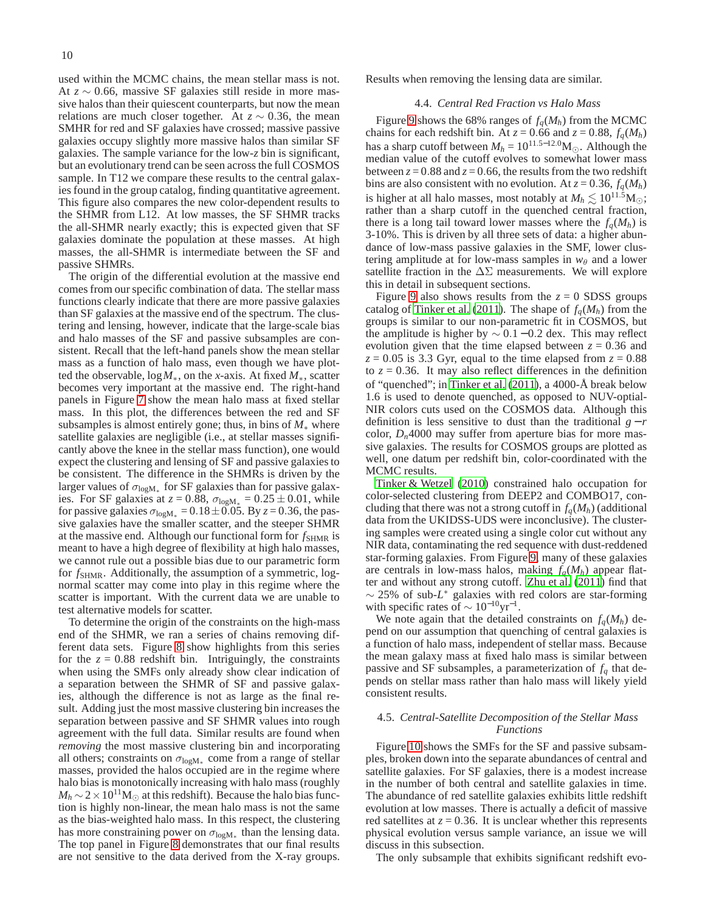used within the MCMC chains, the mean stellar mass is not. At *z* ∼ 0.66, massive SF galaxies still reside in more massive halos than their quiescent counterparts, but now the mean relations are much closer together. At  $z \sim 0.36$ , the mean SMHR for red and SF galaxies have crossed; massive passive galaxies occupy slightly more massive halos than similar SF galaxies. The sample variance for the low-*z* bin is significant, but an evolutionary trend can be seen across the full COSMOS sample. In T12 we compare these results to the central galaxies found in the group catalog, finding quantitative agreement. This figure also compares the new color-dependent results to the SHMR from L12. At low masses, the SF SHMR tracks the all-SHMR nearly exactly; this is expected given that SF galaxies dominate the population at these masses. At high masses, the all-SHMR is intermediate between the SF and passive SHMRs.

The origin of the differential evolution at the massive end comes from our specific combination of data. The stellar mass functions clearly indicate that there are more passive galaxies than SF galaxies at the massive end of the spectrum. The clustering and lensing, however, indicate that the large-scale bias and halo masses of the SF and passive subsamples are consistent. Recall that the left-hand panels show the mean stellar mass as a function of halo mass, even though we have plotted the observable, log*M*∗, on the *x*-axis. At fixed *M*∗, scatter becomes very important at the massive end. The right-hand panels in Figure [7](#page-10-0) show the mean halo mass at fixed stellar mass. In this plot, the differences between the red and SF subsamples is almost entirely gone; thus, in bins of  $M_*$  where satellite galaxies are negligible (i.e., at stellar masses significantly above the knee in the stellar mass function), one would expect the clustering and lensing of SF and passive galaxiesto be consistent. The difference in the SHMRs is driven by the larger values of  $\sigma_{\text{logM}_{*}}$  for SF galaxies than for passive galaxies. For SF galaxies at  $z = 0.88$ ,  $\sigma_{\text{log}M_*} = 0.25 \pm 0.01$ , while for passive galaxies  $\sigma_{\text{log}M_*} = 0.18 \pm 0.05$ . By  $z = 0.36$ , the passive galaxies have the smaller scatter, and the steeper SHMR at the massive end. Although our functional form for  $f_{\text{SHMR}}$  is meant to have a high degree of flexibility at high halo masses, we cannot rule out a possible bias due to our parametric form for  $f_{\text{SHMR}}$ . Additionally, the assumption of a symmetric, lognormal scatter may come into play in this regime where the scatter is important. With the current data we are unable to test alternative models for scatter.

To determine the origin of the constraints on the high-mass end of the SHMR, we ran a series of chains removing different data sets. Figure [8](#page-11-0) show highlights from this series for the  $z = 0.88$  redshift bin. Intriguingly, the constraints when using the SMFs only already show clear indication of a separation between the SHMR of SF and passive galaxies, although the difference is not as large as the final result. Adding just the most massive clustering bin increases the separation between passive and SF SHMR values into rough agreement with the full data. Similar results are found when *removing* the most massive clustering bin and incorporating all others; constraints on  $\sigma_{\text{log}M*}$  come from a range of stellar masses, provided the halos occupied are in the regime where halo bias is monotonically increasing with halo mass (roughly  $M_h \sim 2 \times 10^{11}$ M<sub>☉</sub> at this redshift). Because the halo bias function is highly non-linear, the mean halo mass is not the same as the bias-weighted halo mass. In this respect, the clustering has more constraining power on  $\sigma_{\text{log}M_*}$  than the lensing data. The top panel in Figure [8](#page-11-0) demonstrates that our final results are not sensitive to the data derived from the X-ray groups.

Results when removing the lensing data are similar.

## 4.4. *Central Red Fraction vs Halo Mass*

Figure [9](#page-12-0) shows the 68% ranges of  $f_q(M_h)$  from the MCMC chains for each redshift bin. At  $z = 0.66$  and  $z = 0.88$ ,  $f_q(M_h)$ has a sharp cutoff between  $M_h = 10^{11.5-12.0}$ M<sub>⊙</sub>. Although the median value of the cutoff evolves to somewhat lower mass between  $z = 0.88$  and  $z = 0.66$ , the results from the two redshift bins are also consistent with no evolution. At  $z = 0.36$ ,  $f_a(M_h)$ is higher at all halo masses, most notably at  $M_h \lesssim 10^{11.5}$ M<sub>☉</sub>; rather than a sharp cutoff in the quenched central fraction, there is a long tail toward lower masses where the  $f_a(M_h)$  is 3-10%. This is driven by all three sets of data: a higher abundance of low-mass passive galaxies in the SMF, lower clustering amplitude at for low-mass samples in  $w_\theta$  and a lower satellite fraction in the  $\Delta\Sigma$  measurements. We will explore this in detail in subsequent sections.

Figure [9](#page-12-0) also shows results from the  $z = 0$  SDSS groups catalog of [Tinker et al. \(2011\)](#page-19-22). The shape of  $f_a(M_h)$  from the groups is similar to our non-parametric fit in COSMOS, but the amplitude is higher by  $\sim 0.1 - 0.2$  dex. This may reflect evolution given that the time elapsed between  $z = 0.36$  and  $z = 0.05$  is 3.3 Gyr, equal to the time elapsed from  $z = 0.88$ to  $z = 0.36$ . It may also reflect differences in the definition of "quenched"; in [Tinker et al. \(2011\)](#page-19-22), a 4000-Å break below 1.6 is used to denote quenched, as opposed to NUV-optial-NIR colors cuts used on the COSMOS data. Although this definition is less sensitive to dust than the traditional  $g - r$ color,  $D_n$ 4000 may suffer from aperture bias for more massive galaxies. The results for COSMOS groups are plotted as well, one datum per redshift bin, color-coordinated with the MCMC results.

[Tinker & Wetzel \(2010\)](#page-19-15) constrained halo occupation for color-selected clustering from DEEP2 and COMBO17, concluding that there was not a strong cutoff in  $f_a(M_h)$  (additional data from the UKIDSS-UDS were inconclusive). The clustering samples were created using a single color cut without any NIR data, contaminating the red sequence with dust-reddened star-forming galaxies. From Figure [9,](#page-12-0) many of these galaxies are centrals in low-mass halos, making  $f_q(M_h)$  appear flatter and without any strong cutoff. [Zhu et al. \(2011](#page-19-14)) find that ∼ 25% of sub-*L* <sup>∗</sup> galaxies with red colors are star-forming with specific rates of  $\sim 10^{-10} \text{yr}^{-1}$ .

We note again that the detailed constraints on  $f_q(M_h)$  depend on our assumption that quenching of central galaxies is a function of halo mass, independent of stellar mass. Because the mean galaxy mass at fixed halo mass is similar between passive and SF subsamples, a parameterization of *f<sup>q</sup>* that depends on stellar mass rather than halo mass will likely yield consistent results.

### 4.5. *Central-Satellite Decomposition of the Stellar Mass Functions*

Figure [10](#page-13-0) shows the SMFs for the SF and passive subsamples, broken down into the separate abundances of central and satellite galaxies. For SF galaxies, there is a modest increase in the number of both central and satellite galaxies in time. The abundance of red satellite galaxies exhibits little redshift evolution at low masses. There is actually a deficit of massive red satellites at  $z = 0.36$ . It is unclear whether this represents physical evolution versus sample variance, an issue we will discuss in this subsection.

The only subsample that exhibits significant redshift evo-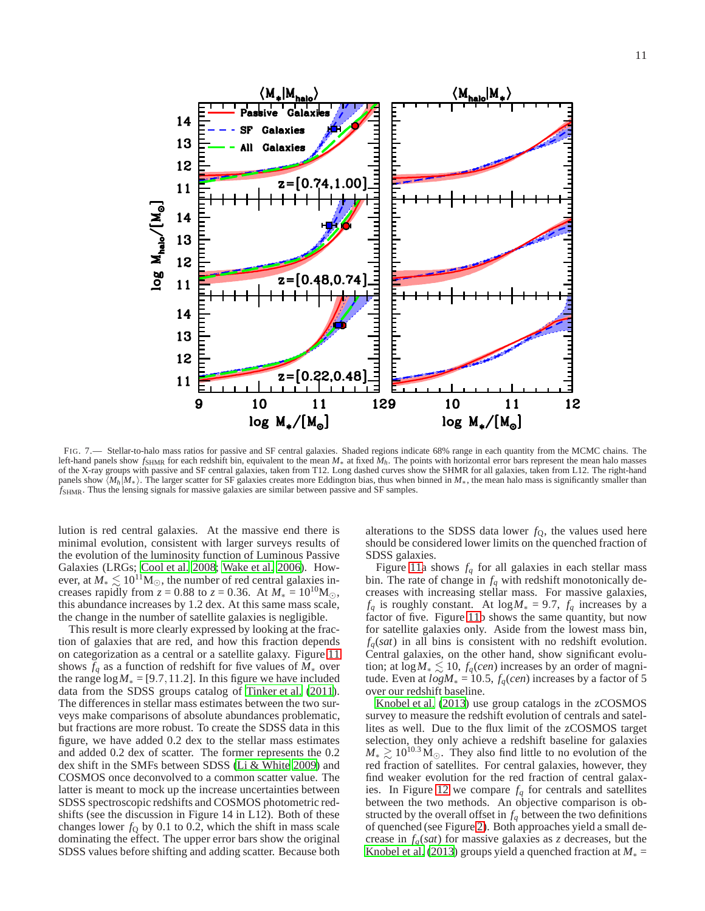14 13 **Galaxies** 12  $z = [0.74, 1.00]$ 11  $\log M_{\rm halo}/[{\rm M}_\odot]$ 14 13 12  $z = [0.48, 0.74]$ 11 14 13 12  $z = [0.22, 0.48]$ 11 10 9 11 129 10  $11$ 12  $log M_{*}/[M_{\odot}]$  $log M_{*}/[M_{\odot}]$ 

<span id="page-10-0"></span>FIG. 7.— Stellar-to-halo mass ratios for passive and SF central galaxies. Shaded regions indicate 68% range in each quantity from the MCMC chains. The left-hand panels show *f*<sub>SHMR</sub> for each redshift bin, equivalent to the mean *M*<sup>∗</sup> at fixed *M<sub>h</sub>*. The points with horizontal error bars represent the mean halo masses of the X-ray groups with passive and SF central galaxies, taken from T12. Long dashed curves show the SHMR for all galaxies, taken from L12. The right-hand panels show  $\langle M_h | M_* \rangle$ . The larger scatter for SF galaxies creates more Eddington bias, thus when binned in  $M_*$ , the mean halo mass is significantly smaller than *f*SHMR. Thus the lensing signals for massive galaxies are similar between passive and SF samples.

lution is red central galaxies. At the massive end there is minimal evolution, consistent with larger surveys results of the evolution of the luminosity function of Luminous Passive Galaxies (LRGs; [Cool et al. 2008;](#page-18-33) [Wake et al. 2006\)](#page-19-30). However, at  $M_* \lesssim 10^{11} M_{\odot}$ , the number of red central galaxies increases rapidly from  $z = 0.88$  to  $z = 0.36$ . At  $M_* = 10^{10}$ M<sub>☉</sub>, this abundance increases by 1.2 dex. At this same mass scale, the change in the number of satellite galaxies is negligible.

This result is more clearly expressed by looking at the fraction of galaxies that are red, and how this fraction depends on categorization as a central or a satellite galaxy. Figure [11](#page-14-0) shows  $f_q$  as a function of redshift for five values of  $M_*$  over the range  $\log M_* = [9.7, 11.2]$ . In this figure we have included data from the SDSS groups catalog of [Tinker et al. \(2011\)](#page-19-22). The differences in stellar mass estimates between the two surveys make comparisons of absolute abundances problematic, but fractions are more robust. To create the SDSS data in this figure, we have added 0.2 dex to the stellar mass estimates and added 0.2 dex of scatter. The former represents the 0.2 dex shift in the SMFs between SDSS [\(Li & White 2009\)](#page-18-30) and COSMOS once deconvolved to a common scatter value. The latter is meant to mock up the increase uncertainties between SDSS spectroscopic redshifts and COSMOS photometric redshifts (see the discussion in Figure 14 in L12). Both of these changes lower  $f<sub>Q</sub>$  by 0.1 to 0.2, which the shift in mass scale dominating the effect. The upper error bars show the original SDSS values before shifting and adding scatter. Because both alterations to the SDSS data lower  $f<sub>0</sub>$ , the values used here should be considered lower limits on the quenched fraction of SDSS galaxies.

Figure [11a](#page-14-0) shows  $f_q$  for all galaxies in each stellar mass bin. The rate of change in  $f_q$  with redshift monotonically decreases with increasing stellar mass. For massive galaxies, *f*<sup>*q*</sup> is roughly constant. At log*M*<sup>∗</sup> = 9.7, *f<sub>q</sub>* increases by a factor of five. Figure [11b](#page-14-0) shows the same quantity, but now for satellite galaxies only. Aside from the lowest mass bin, *fq*(*sat*) in all bins is consistent with no redshift evolution. Central galaxies, on the other hand, show significant evolution; at  $\log M_* \lesssim 10$ , *f<sub>q</sub>*(*cen*) increases by an order of magnitude. Even at  $logM_* = 10.5$ ,  $f_q(cen)$  increases by a factor of 5 over our redshift baseline.

[Knobel et al. \(2013\)](#page-18-19) use group catalogs in the zCOSMOS survey to measure the redshift evolution of centrals and satellites as well. Due to the flux limit of the zCOSMOS target selection, they only achieve a redshift baseline for galaxies  $M_* \gtrsim 10^{10.3} \,\mathrm{M}_{\odot}$ . They also find little to no evolution of the red fraction of satellites. For central galaxies, however, they find weaker evolution for the red fraction of central galax-ies. In Figure [12](#page-15-0) we compare  $f_q$  for centrals and satellites between the two methods. An objective comparison is obstructed by the overall offset in  $f_q$  between the two definitions of quenched (see Figure [2\)](#page-2-1). Both approaches yield a small decrease in  $f_q(sat)$  for massive galaxies as *z* decreases, but the [Knobel et al. \(2013\)](#page-18-19) groups yield a quenched fraction at  $M_* =$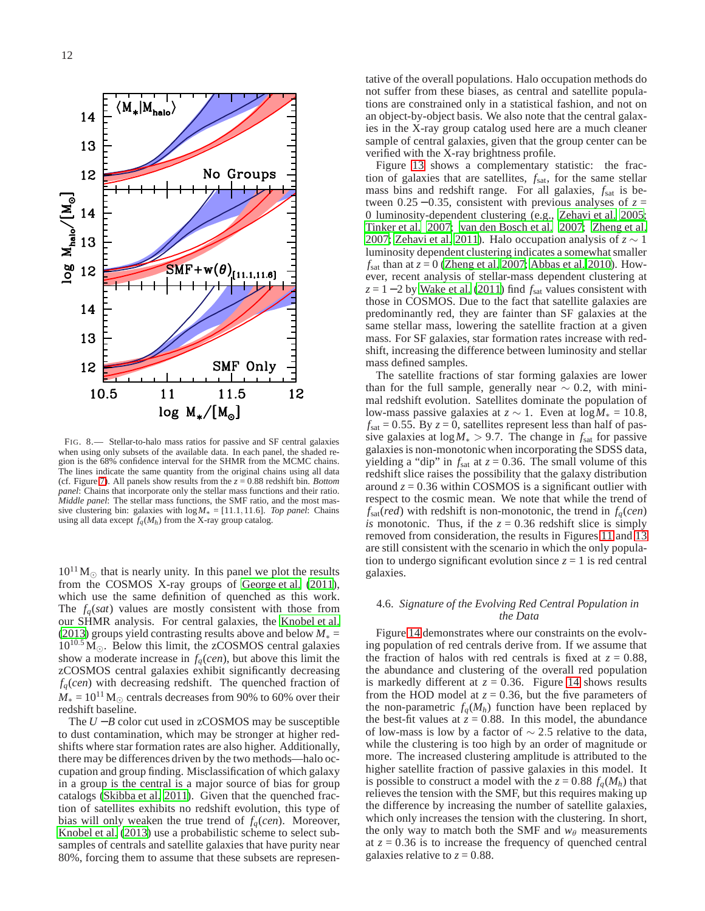

<span id="page-11-0"></span>FIG. 8.— Stellar-to-halo mass ratios for passive and SF central galaxies when using only subsets of the available data. In each panel, the shaded region is the 68% confidence interval for the SHMR from the MCMC chains. The lines indicate the same quantity from the original chains using all data (cf. Figure [7\)](#page-10-0). All panels show results from the *z* = 0.88 redshift bin. *Bottom panel*: Chains that incorporate only the stellar mass functions and their ratio. *Middle panel*: The stellar mass functions, the SMF ratio, and the most massive clustering bin: galaxies with  $\log M_* = [11.1, 11.6]$ . *Top panel*: Chains using all data except  $f_q(M_h)$  from the X-ray group catalog.

 $10^{11}$  M<sub>☉</sub> that is nearly unity. In this panel we plot the results from the COSMOS X-ray groups of [George et al. \(2011\)](#page-18-25), which use the same definition of quenched as this work. The *fq*(*sat*) values are mostly consistent with those from our SHMR analysis. For central galaxies, the [Knobel et al.](#page-18-19) [\(2013](#page-18-19)) groups yield contrasting results above and below *M*<sup>∗</sup> =  $10^{10.5} \,\mathrm{M}_{\odot}$ . Below this limit, the zCOSMOS central galaxies show a moderate increase in *fq*(*cen*), but above this limit the zCOSMOS central galaxies exhibit significantly decreasing *fq*(*cen*) with decreasing redshift. The quenched fraction of  $M_* = 10^{11}$  M<sub>☉</sub> centrals decreases from 90% to 60% over their redshift baseline.

The *U* −*B* color cut used in zCOSMOS may be susceptible to dust contamination, which may be stronger at higher redshifts where star formation rates are also higher. Additionally, there may be differences driven by the two methods—halo occupation and group finding. Misclassification of which galaxy in a group is the central is a major source of bias for group catalogs [\(Skibba et al. 2011\)](#page-19-31). Given that the quenched fraction of satellites exhibits no redshift evolution, this type of bias will only weaken the true trend of  $f_q(cen)$ . Moreover, [Knobel et al. \(2013\)](#page-18-19) use a probabilistic scheme to select subsamples of centrals and satellite galaxies that have purity near 80%, forcing them to assume that these subsets are representative of the overall populations. Halo occupation methods do not suffer from these biases, as central and satellite populations are constrained only in a statistical fashion, and not on an object-by-object basis. We also note that the central galaxies in the X-ray group catalog used here are a much cleaner sample of central galaxies, given that the group center can be verified with the X-ray brightness profile.

Figure [13](#page-16-0) shows a complementary statistic: the fraction of galaxies that are satellites,  $f_{\text{sat}}$ , for the same stellar mass bins and redshift range. For all galaxies, *f*sat is between  $0.25 - 0.35$ , consistent with previous analyses of  $z =$ 0 luminosity-dependent clustering (e.g., [Zehavi et al. 2005](#page-19-16); [Tinker et al. 2007;](#page-19-32) [van den Bosch et al. 2007](#page-19-9); [Zheng et al.](#page-19-8) [2007;](#page-19-8) [Zehavi et al. 2011\)](#page-19-17). Halo occupation analysis of  $z \sim 1$ luminosity dependent clustering indicates a somewhat smaller  $f_{\text{sat}}$  than at  $z = 0$  [\(Zheng et al. 2007;](#page-19-8) [Abbas et al. 2010\)](#page-17-7). However, recent analysis of stellar-mass dependent clustering at  $z = 1 - 2$  by [Wake et al. \(2011\)](#page-19-33) find  $f_{\text{sat}}$  values consistent with those in COSMOS. Due to the fact that satellite galaxies are predominantly red, they are fainter than SF galaxies at the same stellar mass, lowering the satellite fraction at a given mass. For SF galaxies, star formation rates increase with redshift, increasing the difference between luminosity and stellar mass defined samples.

The satellite fractions of star forming galaxies are lower than for the full sample, generally near  $\sim 0.2$ , with minimal redshift evolution. Satellites dominate the population of low-mass passive galaxies at  $z \sim 1$ . Even at  $\log M_* = 10.8$ ,  $f_{\text{sat}} = 0.55$ . By  $z = 0$ , satellites represent less than half of passive galaxies at  $log M_* > 9.7$ . The change in  $f_{\text{sat}}$  for passive galaxies is non-monotonic when incorporating the SDSS data, yielding a "dip" in  $f_{\text{sat}}$  at  $z = 0.36$ . The small volume of this redshift slice raises the possibility that the galaxy distribution around  $z = 0.36$  within COSMOS is a significant outlier with respect to the cosmic mean. We note that while the trend of  $f_{\text{sat}}(\text{red})$  with redshift is non-monotonic, the trend in  $f_q(\text{cen})$ *is* monotonic. Thus, if the  $z = 0.36$  redshift slice is simply removed from consideration, the results in Figures [11](#page-14-0) and [13](#page-16-0) are still consistent with the scenario in which the only population to undergo significant evolution since  $z = 1$  is red central galaxies.

### 4.6. *Signature of the Evolving Red Central Population in the Data*

Figure [14](#page-16-1) demonstrates where our constraints on the evolving population of red centrals derive from. If we assume that the fraction of halos with red centrals is fixed at  $z = 0.88$ , the abundance and clustering of the overall red population is markedly different at  $z = 0.36$ . Figure [14](#page-16-1) shows results from the HOD model at  $z = 0.36$ , but the five parameters of the non-parametric  $f_a(M_h)$  function have been replaced by the best-fit values at  $\zeta = 0.88$ . In this model, the abundance of low-mass is low by a factor of  $\sim$  2.5 relative to the data, while the clustering is too high by an order of magnitude or more. The increased clustering amplitude is attributed to the higher satellite fraction of passive galaxies in this model. It is possible to construct a model with the  $z = 0.88 f_q(M_h)$  that relieves the tension with the SMF, but this requires making up the difference by increasing the number of satellite galaxies, which only increases the tension with the clustering. In short, the only way to match both the SMF and  $w_{\theta}$  measurements at  $z = 0.36$  is to increase the frequency of quenched central galaxies relative to  $z = 0.88$ .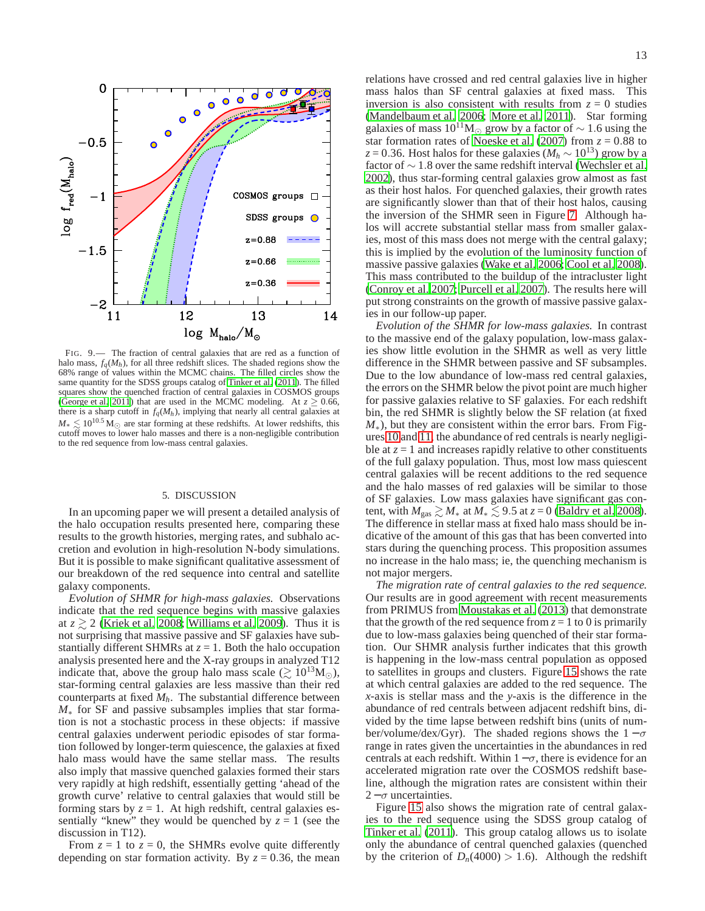

<span id="page-12-0"></span>FIG. 9.— The fraction of central galaxies that are red as a function of halo mass,  $f_q(M_h)$ , for all three redshift slices. The shaded regions show the 68% range of values within the MCMC chains. The filled circles show the same quantity for the SDSS groups catalog of [Tinker et al. \(2011](#page-19-22)). The filled squares show the quenched fraction of central galaxies in COSMOS groups [\(George et al. 2011](#page-18-25)) that are used in the MCMC modeling. At  $z \ge 0.66$ , there is a sharp cutoff in  $f_q(M_h)$ , implying that nearly all central galaxies at  $M_* \leq 10^{10.5} \,\mathrm{M}_{\odot}$  are star forming at these redshifts. At lower redshifts, this cutoff moves to lower halo masses and there is a non-negligible contribution to the red sequence from low-mass central galaxies.

#### 5. DISCUSSION

In an upcoming paper we will present a detailed analysis of the halo occupation results presented here, comparing these results to the growth histories, merging rates, and subhalo accretion and evolution in high-resolution N-body simulations. But it is possible to make significant qualitative assessment of our breakdown of the red sequence into central and satellite galaxy components.

*Evolution of SHMR for high-mass galaxies.* Observations indicate that the red sequence begins with massive galaxies at  $z \ge 2$  [\(Kriek et al. 2008;](#page-18-3) [Williams et al. 2009\)](#page-19-2). Thus it is not surprising that massive passive and SF galaxies have substantially different SHMRs at  $z = 1$ . Both the halo occupation analysis presented here and the X-ray groups in analyzed T12 indicate that, above the group halo mass scale ( $\gtrsim 10^{13} M_{\odot}$ ), star-forming central galaxies are less massive than their red counterparts at fixed *Mh*. The substantial difference between *M*<sup>∗</sup> for SF and passive subsamples implies that star formation is not a stochastic process in these objects: if massive central galaxies underwent periodic episodes of star formation followed by longer-term quiescence, the galaxies at fixed halo mass would have the same stellar mass. The results also imply that massive quenched galaxies formed their stars very rapidly at high redshift, essentially getting 'ahead of the growth curve' relative to central galaxies that would still be forming stars by  $z = 1$ . At high redshift, central galaxies essentially "knew" they would be quenched by  $z = 1$  (see the discussion in T12).

From  $z = 1$  to  $z = 0$ , the SHMRs evolve quite differently depending on star formation activity. By  $z = 0.36$ , the mean relations have crossed and red central galaxies live in higher mass halos than SF central galaxies at fixed mass. This inversion is also consistent with results from  $z = 0$  studies [\(Mandelbaum et al. 2006;](#page-18-34) [More et al. 2011\)](#page-18-26). Star forming galaxies of mass  $10^{11}M_{\odot}$  grow by a factor of ~ 1.6 using the star formation rates of [Noeske et al.](#page-19-34) [\(2007\)](#page-19-34) from  $z = 0.88$  to  $z = 0.36$ . Host halos for these galaxies ( $M_h \sim 10^{13}$ ) grow by a factor of ∼ 1.8 over the same redshift interval [\(Wechsler et al.](#page-19-35) [2002\)](#page-19-35), thus star-forming central galaxies grow almost as fast as their host halos. For quenched galaxies, their growth rates are significantly slower than that of their host halos, causing the inversion of the SHMR seen in Figure [7.](#page-10-0) Although halos will accrete substantial stellar mass from smaller galaxies, most of this mass does not merge with the central galaxy; this is implied by the evolution of the luminosity function of massive passive galaxies [\(Wake et al. 2006;](#page-19-30) [Cool et al. 2008](#page-18-33)). This mass contributed to the buildup of the intracluster light [\(Conroy et al. 2007;](#page-18-35) [Purcell et al. 2007](#page-19-36)). The results here will put strong constraints on the growth of massive passive galaxies in our follow-up paper.

*Evolution of the SHMR for low-mass galaxies.* In contrast to the massive end of the galaxy population, low-mass galaxies show little evolution in the SHMR as well as very little difference in the SHMR between passive and SF subsamples. Due to the low abundance of low-mass red central galaxies, the errors on the SHMR below the pivot point are much higher for passive galaxies relative to SF galaxies. For each redshift bin, the red SHMR is slightly below the SF relation (at fixed *M*<sup>∗</sup>), but they are consistent within the error bars. From Figures [10](#page-13-0) and [11,](#page-14-0) the abundance of red centrals is nearly negligible at  $z = 1$  and increases rapidly relative to other constituents of the full galaxy population. Thus, most low mass quiescent central galaxies will be recent additions to the red sequence and the halo masses of red galaxies will be similar to those of SF galaxies. Low mass galaxies have significant gas content, with  $M_{\text{gas}} \gtrsim M_*$  at  $M_* \lesssim 9.5$  at  $z = 0$  [\(Baldry et al. 2008](#page-17-8)). The difference in stellar mass at fixed halo mass should be indicative of the amount of this gas that has been converted into stars during the quenching process. This proposition assumes no increase in the halo mass; ie, the quenching mechanism is not major mergers.

*The migration rate of central galaxies to the red sequence.* Our results are in good agreement with recent measurements from PRIMUS from [Moustakas et al.](#page-18-14) [\(2013\)](#page-18-14) that demonstrate that the growth of the red sequence from  $z = 1$  to 0 is primarily due to low-mass galaxies being quenched of their star formation. Our SHMR analysis further indicates that this growth is happening in the low-mass central population as opposed to satellites in groups and clusters. Figure [15](#page-17-9) shows the rate at which central galaxies are added to the red sequence. The *x*-axis is stellar mass and the *y*-axis is the difference in the abundance of red centrals between adjacent redshift bins, divided by the time lapse between redshift bins (units of number/volume/dex/Gyr). The shaded regions shows the  $1 - \sigma$ range in rates given the uncertainties in the abundances in red centrals at each redshift. Within  $1-\sigma$ , there is evidence for an accelerated migration rate over the COSMOS redshift baseline, although the migration rates are consistent within their  $2 - \sigma$  uncertainties.

Figure [15](#page-17-9) also shows the migration rate of central galaxies to the red sequence using the SDSS group catalog of [Tinker et al. \(2011](#page-19-22)). This group catalog allows us to isolate only the abundance of central quenched galaxies (quenched by the criterion of  $D_n(4000) > 1.6$ ). Although the redshift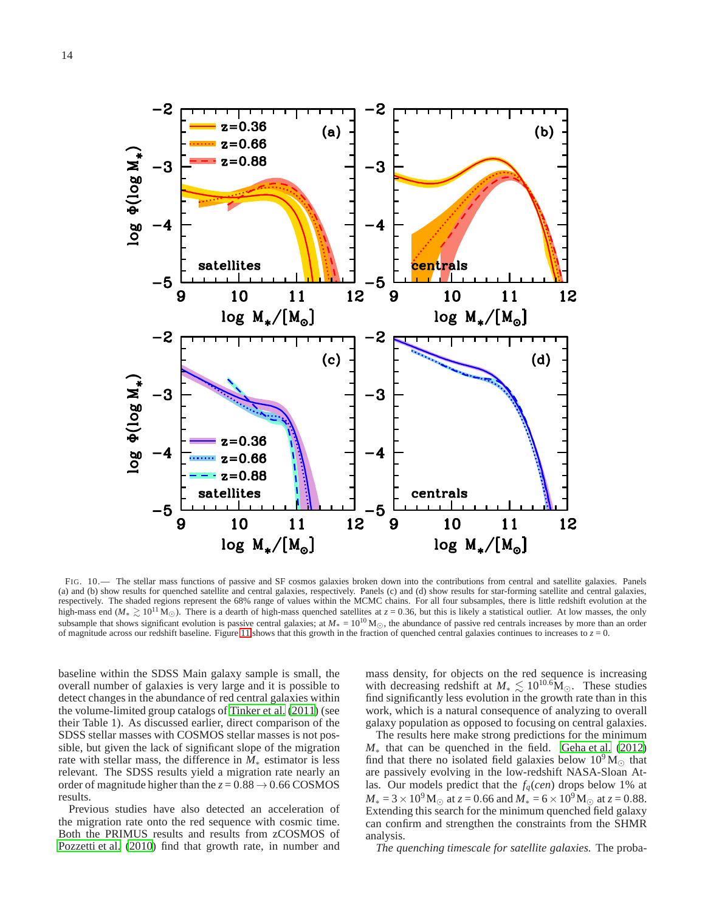

<span id="page-13-0"></span>FIG. 10.— The stellar mass functions of passive and SF cosmos galaxies broken down into the contributions from central and satellite galaxies. Panels (a) and (b) show results for quenched satellite and central galaxies, respectively. Panels (c) and (d) show results for star-forming satellite and central galaxies, respectively. The shaded regions represent the 68% range of values within the MCMC chains. For all four subsamples, there is little redshift evolution at the high-mass end ( $M_* \geq 10^{11}$  M<sub>☉</sub>). There is a dearth of high-mass quenched satellites at  $z = 0.36$ , but this is likely a statistical outlier. At low masses, the only subsample that shows significant evolution is passive central galaxies; at  $M_* = 10^{10}$  M<sub>○</sub>, the abundance of passive red centrals increases by more than an order of magnitude across our redshift baseline. Figure [11](#page-14-0) shows that this growth in the fraction of quenched central galaxies continues to increases to  $z = 0$ .

baseline within the SDSS Main galaxy sample is small, the overall number of galaxies is very large and it is possible to detect changes in the abundance of red central galaxies within the volume-limited group catalogs of [Tinker et al.](#page-19-22) [\(2011\)](#page-19-22) (see their Table 1). As discussed earlier, direct comparison of the SDSS stellar masses with COSMOS stellar masses is not possible, but given the lack of significant slope of the migration rate with stellar mass, the difference in *M*<sup>∗</sup> estimator is less relevant. The SDSS results yield a migration rate nearly an order of magnitude higher than the  $z = 0.88 \rightarrow 0.66 \text{ COSMOS}$ results.

Previous studies have also detected an acceleration of the migration rate onto the red sequence with cosmic time. Both the PRIMUS results and results from zCOSMOS of [Pozzetti et al. \(2010\)](#page-19-37) find that growth rate, in number and

mass density, for objects on the red sequence is increasing with decreasing redshift at  $M_* \lesssim 10^{10.6} M_{\odot}$ . These studies find significantly less evolution in the growth rate than in this work, which is a natural consequence of analyzing to overall galaxy population as opposed to focusing on central galaxies.

The results here make strong predictions for the minimum *M*<sup>∗</sup> that can be quenched in the field. [Geha et al.](#page-18-36) [\(2012\)](#page-18-36) find that there no isolated field galaxies below  $10^9 M_{\odot}$  that are passively evolving in the low-redshift NASA-Sloan Atlas. Our models predict that the *fq*(*cen*) drops below 1% at  $M_* = 3 \times 10^9$  M<sub>☉</sub> at  $z = 0.66$  and  $M_* = 6 \times 10^9$  M<sub>☉</sub> at  $z = 0.88$ . Extending this search for the minimum quenched field galaxy can confirm and strengthen the constraints from the SHMR analysis.

*The quenching timescale for satellite galaxies.* The proba-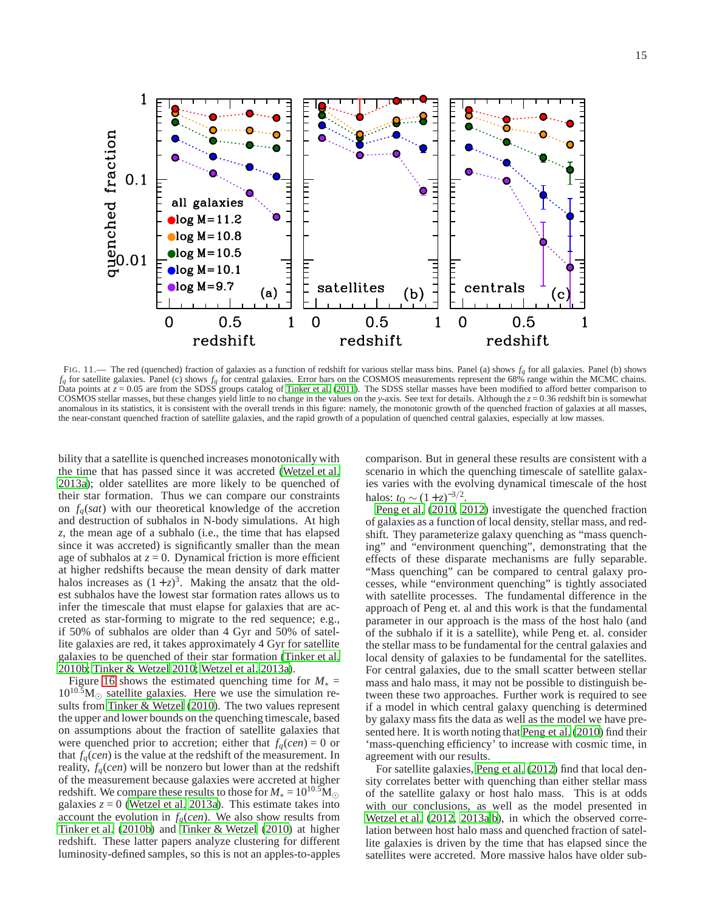$\mathbf{1}$ quenched fraction  $0.1$ all galaxies log  $M = 11.2$ log  $M = 10.8$ log  $M = 10.5$  $.01$ log  $M = 10.1$ log  $M=9.7$ satellites centrals (a) (b) (c  $0.5$  $\overline{0}$  $0.5$  $\mathbf{1}$  $\overline{0}$  $\mathbf{1}$  $\overline{0}$  $0.5$  $\mathbf{1}$ redshift redshift redshift

<span id="page-14-0"></span>FIG. 11.— The red (quenched) fraction of galaxies as a function of redshift for various stellar mass bins. Panel (a) shows  $f_q$  for all galaxies. Panel (b) shows  $f_q$  for satellite galaxies. Panel (c) shows  $f_q$  for central galaxies. Error bars on the COSMOS measurements represent the 68% range within the MCMC chains. Data points at  $z = 0.05$  are from the SDSS groups catalog of [Tinker et al. \(2011](#page-19-22)). The SDSS stellar masses have been modified to afford better comparison to COSMOS stellar masses, but these changes yield little to no change in the values on the *y*-axis. See text for details. Although the *z* = 0.36 redshift bin is somewhat anomalous in its statistics, it is consistent with the overall trends in this figure: namely, the monotonic growth of the quenched fraction of galaxies at all masses, the near-constant quenched fraction of satellite galaxies, and the rapid growth of a population of quenched central galaxies, especially at low masses.

bility that a satellite is quenched increases monotonically with the time that has passed since it was accreted [\(Wetzel et al.](#page-19-38) [2013a](#page-19-38)); older satellites are more likely to be quenched of their star formation. Thus we can compare our constraints on  $f_q(sat)$  with our theoretical knowledge of the accretion and destruction of subhalos in N-body simulations. At high *z*, the mean age of a subhalo (i.e., the time that has elapsed since it was accreted) is significantly smaller than the mean age of subhalos at  $z = 0$ . Dynamical friction is more efficient at higher redshifts because the mean density of dark matter halos increases as  $(1+z)^3$ . Making the ansatz that the oldest subhalos have the lowest star formation rates allows us to infer the timescale that must elapse for galaxies that are accreted as star-forming to migrate to the red sequence; e.g., if 50% of subhalos are older than 4 Gyr and 50% of satellite galaxies are red, it takes approximately 4 Gyr for satellite galaxies to be quenched of their star formation [\(Tinker et al.](#page-19-10) [2010b;](#page-19-10) [Tinker & Wetzel 2010;](#page-19-15) [Wetzel et al. 2013a\)](#page-19-38).

Figure [16](#page-18-37) shows the estimated quenching time for  $M_* =$  $10^{10.5}$ M<sub> $\odot$ </sub> satellite galaxies. Here we use the simulation results from [Tinker & Wetzel \(2010\)](#page-19-15). The two values represent the upper and lower bounds on the quenching timescale, based on assumptions about the fraction of satellite galaxies that were quenched prior to accretion; either that  $f_a(cen) = 0$  or that  $f_q(cen)$  is the value at the redshift of the measurement. In reality,  $f_q(cen)$  will be nonzero but lower than at the redshift of the measurement because galaxies were accreted at higher redshift. We compare these results to those for  $M_* = 10^{10.5} M_{\odot}$ galaxies  $z = 0$  [\(Wetzel et al. 2013a\)](#page-19-38). This estimate takes into account the evolution in  $f_q(cen)$ . We also show results from [Tinker et al. \(2010b](#page-19-10)) and [Tinker & Wetzel \(2010\)](#page-19-15) at higher redshift. These latter papers analyze clustering for different luminosity-defined samples, so this is not an apples-to-apples comparison. But in general these results are consistent with a scenario in which the quenching timescale of satellite galaxies varies with the evolving dynamical timescale of the host halos:  $t_Q \sim (1+z)^{-3/2}$ .

[Peng et al. \(2010](#page-19-39), [2012\)](#page-19-40) investigate the quenched fraction of galaxies as a function of local density, stellar mass, and redshift. They parameterize galaxy quenching as "mass quenching" and "environment quenching", demonstrating that the effects of these disparate mechanisms are fully separable. "Mass quenching" can be compared to central galaxy processes, while "environment quenching" is tightly associated with satellite processes. The fundamental difference in the approach of Peng et. al and this work is that the fundamental parameter in our approach is the mass of the host halo (and of the subhalo if it is a satellite), while Peng et. al. consider the stellar mass to be fundamental for the central galaxies and local density of galaxies to be fundamental for the satellites. For central galaxies, due to the small scatter between stellar mass and halo mass, it may not be possible to distinguish between these two approaches. Further work is required to see if a model in which central galaxy quenching is determined by galaxy mass fits the data as well as the model we have presented here. It is worth noting that [Peng et al. \(2010\)](#page-19-39) find their 'mass-quenching efficiency' to increase with cosmic time, in agreement with our results.

For satellite galaxies, [Peng et al. \(2012\)](#page-19-40) find that local density correlates better with quenching than either stellar mass of the satellite galaxy or host halo mass. This is at odds with our conclusions, as well as the model presented in [Wetzel et al. \(2012](#page-19-19), [2013a](#page-19-38)[,b](#page-19-11)), in which the observed correlation between host halo mass and quenched fraction of satellite galaxies is driven by the time that has elapsed since the satellites were accreted. More massive halos have older sub-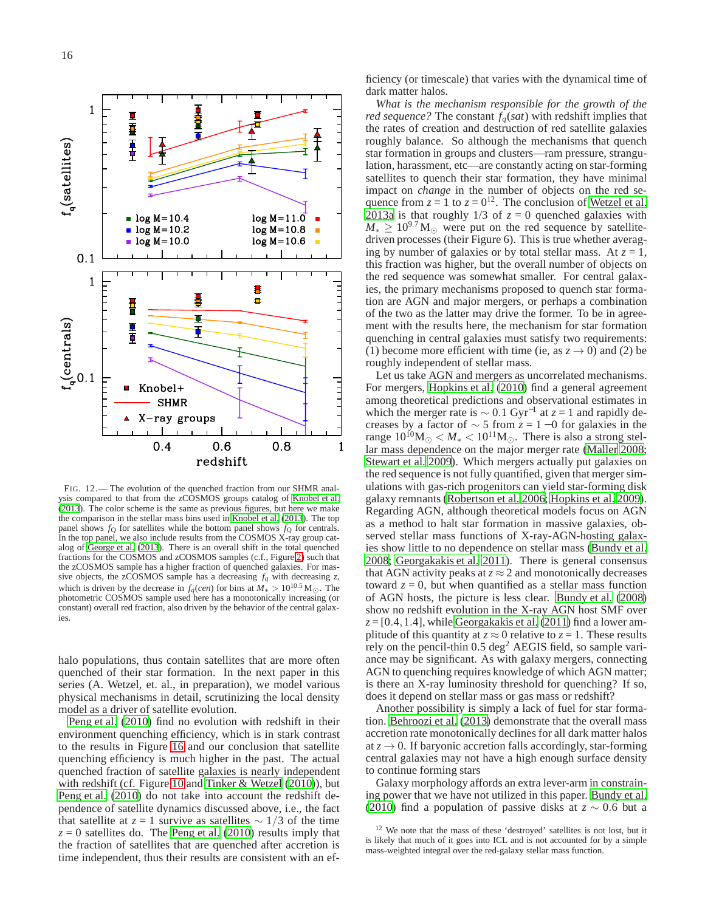

<span id="page-15-0"></span>FIG. 12.— The evolution of the quenched fraction from our SHMR anal-ysis compared to that from the zCOSMOS groups catalog of [Knobel et al.](#page-18-19) [\(2013](#page-18-19)). The color scheme is the same as previous figures, but here we make the comparison in the stellar mass bins used in [Knobel et al. \(2013](#page-18-19)). The top panel shows  $f<sub>O</sub>$  for satellites while the bottom panel shows  $f<sub>O</sub>$  for centrals. In the top panel, we also include results from the COSMOS X-ray group catalog of [George et al. \(2013\)](#page-18-38). There is an overall shift in the total quenched fractions for the COSMOS and zCOSMOS samples (c.f., Figure [2\)](#page-2-1) such that the zCOSMOS sample has a higher fraction of quenched galaxies. For massive objects, the zCOSMOS sample has a decreasing  $f_q$  with decreasing  $z$ , which is driven by the decrease in *f*<sub>*q*</sub>(*cen*) for bins at  $M_* > 10^{10.5}$  M<sub>☉</sub>. The photometric COSMOS sample used here has a monotonically increasing (or constant) overall red fraction, also driven by the behavior of the central galaxies.

halo populations, thus contain satellites that are more often quenched of their star formation. In the next paper in this series (A. Wetzel, et. al., in preparation), we model various physical mechanisms in detail, scrutinizing the local density model as a driver of satellite evolution.

[Peng et al.](#page-19-39) [\(2010\)](#page-19-39) find no evolution with redshift in their environment quenching efficiency, which is in stark contrast to the results in Figure [16](#page-18-37) and our conclusion that satellite quenching efficiency is much higher in the past. The actual quenched fraction of satellite galaxies is nearly independent with redshift (cf. Figure [10](#page-13-0) and [Tinker & Wetzel \(2010\)](#page-19-15)), but [Peng et al.](#page-19-39) [\(2010\)](#page-19-39) do not take into account the redshift dependence of satellite dynamics discussed above, i.e., the fact that satellite at  $z = 1$  survive as satellites  $\sim 1/3$  of the time  $z = 0$  satellites do. The [Peng et al.](#page-19-39) [\(2010\)](#page-19-39) results imply that the fraction of satellites that are quenched after accretion is time independent, thus their results are consistent with an efficiency (or timescale) that varies with the dynamical time of dark matter halos.

*What is the mechanism responsible for the growth of the red sequence?* The constant  $f_q(sat)$  with redshift implies that the rates of creation and destruction of red satellite galaxies roughly balance. So although the mechanisms that quench star formation in groups and clusters—ram pressure, strangulation, harassment, etc—are constantly acting on star-forming satellites to quench their star formation, they have minimal impact on *change* in the number of objects on the red sequence from  $z = 1$  to  $z = 0^{12}$ . The conclusion of [Wetzel et al.](#page-19-38) [2013a](#page-19-38) is that roughly  $1/3$  of  $z = 0$  quenched galaxies with  $M_* \geq 10^{9.7}$  M<sub>☉</sub> were put on the red sequence by satellitedriven processes (their Figure 6). This is true whether averaging by number of galaxies or by total stellar mass. At  $z = 1$ , this fraction was higher, but the overall number of objects on the red sequence was somewhat smaller. For central galaxies, the primary mechanisms proposed to quench star formation are AGN and major mergers, or perhaps a combination of the two as the latter may drive the former. To be in agreement with the results here, the mechanism for star formation quenching in central galaxies must satisfy two requirements: (1) become more efficient with time (ie, as  $z \to 0$ ) and (2) be roughly independent of stellar mass.

Let us take AGN and mergers as uncorrelated mechanisms. For mergers, [Hopkins et al.](#page-18-39) [\(2010\)](#page-18-39) find a general agreement among theoretical predictions and observational estimates in which the merger rate is  $\sim 0.1 \text{ Gyr}^{-1}$  at  $z = 1$  and rapidly decreases by a factor of  $\sim$  5 from *z* = 1 − 0 for galaxies in the range  $10^{10}M_{\odot}$   $\lt M_*$   $\lt 10^{11}M_{\odot}$ . There is also a strong stellar mass dependence on the major merger rate [\(Maller 2008](#page-18-40); [Stewart et al. 2009\)](#page-19-41). Which mergers actually put galaxies on the red sequence is not fully quantified, given that merger simulations with gas-rich progenitors can yield star-forming disk galaxy remnants [\(Robertson et al. 2006;](#page-19-42) [Hopkins et al. 2009](#page-18-41)). Regarding AGN, although theoretical models focus on AGN as a method to halt star formation in massive galaxies, observed stellar mass functions of X-ray-AGN-hosting galaxies show little to no dependence on stellar mass [\(Bundy et al.](#page-18-42) [2008;](#page-18-42) [Georgakakis et al. 2011\)](#page-18-43). There is general consensus that AGN activity peaks at  $z \approx 2$  and monotonically decreases toward  $z = 0$ , but when quantified as a stellar mass function of AGN hosts, the picture is less clear. [Bundy et al.](#page-18-42) [\(2008\)](#page-18-42) show no redshift evolution in the X-ray AGN host SMF over  $z = [0.4, 1.4]$ , while [Georgakakis et al.](#page-18-43) [\(2011\)](#page-18-43) find a lower amplitude of this quantity at  $z \approx 0$  relative to  $z = 1$ . These results rely on the pencil-thin  $0.5 \text{ deg}^2$  AEGIS field, so sample variance may be significant. As with galaxy mergers, connecting AGN to quenching requires knowledge of which AGN matter; is there an X-ray luminosity threshold for quenching? If so, does it depend on stellar mass or gas mass or redshift?

Another possibility is simply a lack of fuel for star formation. [Behroozi et al. \(2013\)](#page-17-10) demonstrate that the overall mass accretion rate monotonically declines for all dark matter halos at  $z \rightarrow 0$ . If baryonic accretion falls accordingly, star-forming central galaxies may not have a high enough surface density to continue forming stars

Galaxy morphology affords an extra lever-arm in constraining power that we have not utilized in this paper. [Bundy et al.](#page-18-20) [\(2010\)](#page-18-20) find a population of passive disks at  $z \sim 0.6$  but a

<sup>&</sup>lt;sup>12</sup> We note that the mass of these 'destroyed' satellites is not lost, but it is likely that much of it goes into ICL and is not accounted for by a simple mass-weighted integral over the red-galaxy stellar mass function.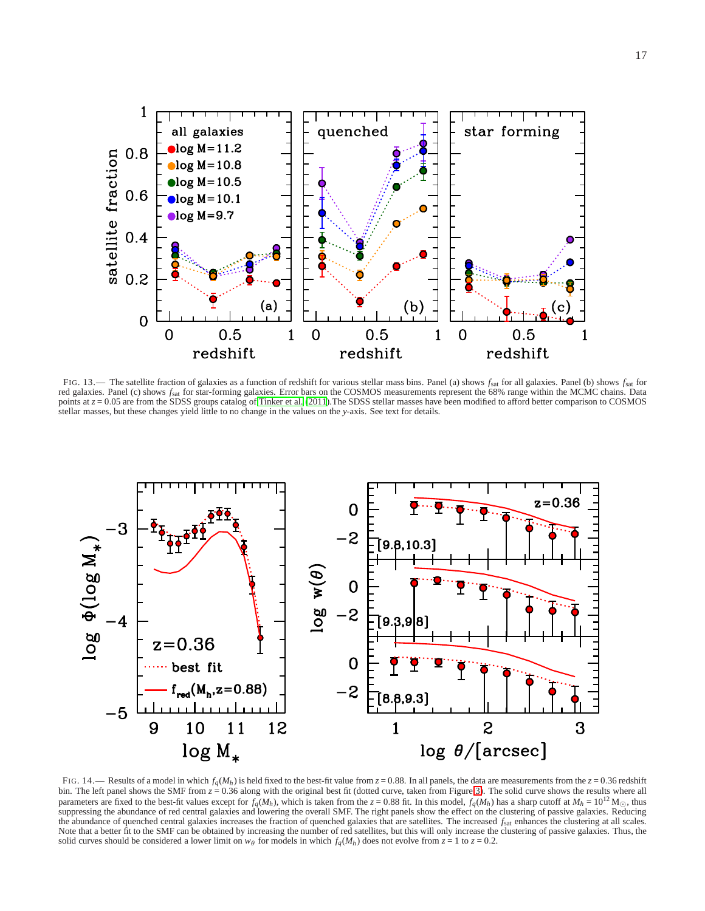

<span id="page-16-0"></span>FIG. 13.— The satellite fraction of galaxies as a function of redshift for various stellar mass bins. Panel (a) shows  $f_{\text{sat}}$  for all galaxies. Panel (b) shows  $f_{\text{sat}}$  for red galaxies. Panel (c) shows *f*sat for star-forming galaxies. Error bars on the COSMOS measurements represent the 68% range within the MCMC chains. Data points at  $z = 0.05$  are from the SDSS groups catalog of [Tinker et al. \(2011\)](#page-19-22). The SDSS stellar masses have been modified to afford better comparison to COSMOS stellar masses, but these changes yield little to no change in the values on the *y*-axis. See text for details.



<span id="page-16-1"></span>FIG. 14.— Results of a model in which  $f_q(M_h)$  is held fixed to the best-fit value from  $z = 0.88$ . In all panels, the data are measurements from the  $z = 0.36$  redshift bin. The left panel shows the SMF from  $z = 0.36$  along parameters are fixed to the best-fit values except for  $f_q(M_h)$ , which is taken from the  $z = 0.88$  fit. In this model,  $f_q(M_h)$  has a sharp cutoff at  $M_h = 10^{12}$  M<sub>O</sub>, thus suppressing the abundance of red central galaxies the abundance of quenched central galaxies increases the fraction of quenched galaxies that are satellites. The increased  $f<sub>sat</sub>$  enhances the clustering at all scales. Note that a better fit to the SMF can be obtained by increasing the number of red satellites, but this will only increase the clustering of passive galaxies. Thus, the solid curves should be considered a lower limit on  $w_\theta$  for models in which  $f_q(M_h)$  does not evolve from  $z = 1$  to  $z = 0.2$ .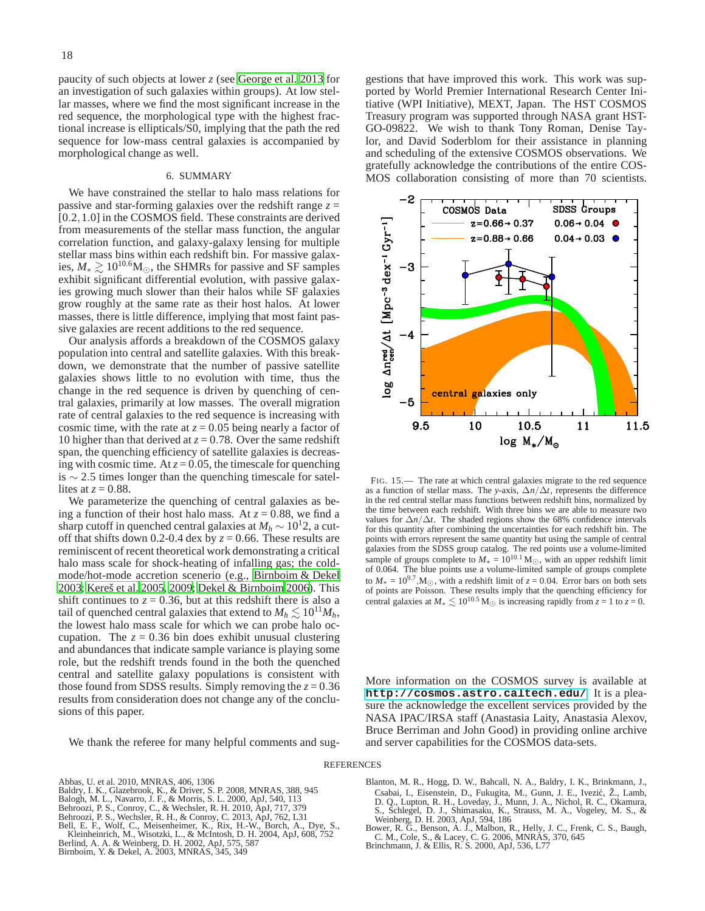paucity of such objects at lower *z* (see [George et al. 2013](#page-18-38) for an investigation of such galaxies within groups). At low stellar masses, where we find the most significant increase in the red sequence, the morphological type with the highest fractional increase is ellipticals/S0, implying that the path the red sequence for low-mass central galaxies is accompanied by morphological change as well.

### 6. SUMMARY

We have constrained the stellar to halo mass relations for passive and star-forming galaxies over the redshift range *z* = [0.2,1.0] in the COSMOS field. These constraints are derived from measurements of the stellar mass function, the angular correlation function, and galaxy-galaxy lensing for multiple stellar mass bins within each redshift bin. For massive galaxies,  $M_* \gtrsim 10^{10.6}$ M<sub>☉</sub>, the SHMRs for passive and SF samples exhibit significant differential evolution, with passive galaxies growing much slower than their halos while SF galaxies grow roughly at the same rate as their host halos. At lower masses, there is little difference, implying that most faint passive galaxies are recent additions to the red sequence.

Our analysis affords a breakdown of the COSMOS galaxy population into central and satellite galaxies. With this breakdown, we demonstrate that the number of passive satellite galaxies shows little to no evolution with time, thus the change in the red sequence is driven by quenching of central galaxies, primarily at low masses. The overall migration rate of central galaxies to the red sequence is increasing with cosmic time, with the rate at  $z = 0.05$  being nearly a factor of 10 higher than that derived at  $z = 0.78$ . Over the same redshift span, the quenching efficiency of satellite galaxies is decreasing with cosmic time. At  $z = 0.05$ , the timescale for quenching is  $\sim$  2.5 times longer than the quenching timescale for satellites at  $z = 0.88$ .

We parameterize the quenching of central galaxies as being a function of their host halo mass. At  $z = 0.88$ , we find a sharp cutoff in quenched central galaxies at  $M_h \sim 10^{12}$ , a cutoff that shifts down 0.2-0.4 dex by  $z = 0.66$ . These results are reminiscent of recent theoretical work demonstrating a critical halo mass scale for shock-heating of infalling gas; the coldmode/hot-mode accretion scenerio (e.g., [Birnboim & Dekel](#page-17-11) [2003;](#page-17-11) [Kereš et al. 2005,](#page-18-44) [2009](#page-18-45); [Dekel & Birnboim 2006\)](#page-18-7). This shift continues to  $z = 0.36$ , but at this redshift there is also a tail of quenched central galaxies that extend to  $M_h \lesssim 10^{11} M_h$ , the lowest halo mass scale for which we can probe halo occupation. The  $z = 0.36$  bin does exhibit unusual clustering and abundances that indicate sample variance is playing some role, but the redshift trends found in the both the quenched central and satellite galaxy populations is consistent with those found from SDSS results. Simply removing the  $z = 0.36$ results from consideration does not change any of the conclusions of this paper.

We thank the referee for many helpful comments and sug-

gestions that have improved this work. This work was supported by World Premier International Research Center Initiative (WPI Initiative), MEXT, Japan. The HST COSMOS Treasury program was supported through NASA grant HST-GO-09822. We wish to thank Tony Roman, Denise Taylor, and David Soderblom for their assistance in planning and scheduling of the extensive COSMOS observations. We gratefully acknowledge the contributions of the entire COS-MOS collaboration consisting of more than 70 scientists.



<span id="page-17-9"></span>FIG. 15.— The rate at which central galaxies migrate to the red sequence as a function of stellar mass. The *y*-axis, ∆*n*/∆*t*, represents the difference in the red central stellar mass functions between redshift bins, normalized by the time between each redshift. With three bins we are able to measure two values for  $\Delta n/\Delta t$ . The shaded regions show the 68% confidence intervals for this quantity after combining the uncertainties for each redshift bin. The points with errors represent the same quantity but using the sample of central galaxies from the SDSS group catalog. The red points use a volume-limited sample of groups complete to  $M_* = 10^{10.1} M_{\odot}$ , with an upper redshift limit of 0.064. The blue points use a volume-limited sample of groups complete to  $M_* = 10^{9.7}$ , M<sub>☉</sub>, with a redshift limit of  $z = 0.04$ . Error bars on both sets of points are Poisson. These results imply that the quenching efficiency for central galaxies at  $M_* \leq 10^{10.5}$  M<sub>☉</sub> is increasing rapidly from  $z = 1$  to  $z = 0$ .

More information on the COSMOS survey is available at **<http://cosmos.astro.caltech.edu/>**. It is a pleasure the acknowledge the excellent services provided by the NASA IPAC/IRSA staff (Anastasia Laity, Anastasia Alexov, Bruce Berriman and John Good) in providing online archive and server capabilities for the COSMOS data-sets.

#### **REFERENCES**

<span id="page-17-8"></span><span id="page-17-7"></span><span id="page-17-5"></span><span id="page-17-3"></span>Abbas, U. et al. 2010, MNRAS, 406, 1306 Baldry, I. K., Glazebrook, K., & Driver, S. P. 2008, MNRAS, 388, 945<br>Balogh, M. L., Navarro, J. F., & Morris, S. L. 2000, ApJ, 540, 113<br>Behroozi, P. S., Comroy, C., & Wechsler, R. H. 2010, ApJ, 717, 379<br>Behroozi, P. S., We

<span id="page-17-11"></span><span id="page-17-10"></span><span id="page-17-4"></span><span id="page-17-1"></span>

<span id="page-17-0"></span>Blanton, M. R., Hogg, D. W., Bahcall, N. A., Baldry, I. K., Brinkmann, J., Csabai, I., Eisenstein, D., Fukugita, M., Gunn, J. E., Ivezic, Ž., Lamb, ´ D. Q., Lupton, R. H., Loveday, J., Munn, J. A., Nichol, R. C., Okamura, S., Schlegel, D. J., Shimasaku, K., Strauss, M. A., Vogeley, M. S., & Weinberg, D. H. 2003, ApJ, 594, 186

- <span id="page-17-2"></span>Bower, R. G., Benson, A. J., Malbon, R., Helly, J. C., Frenk, C. S., Baugh, C. M., Cole, S., & Lacey, C. G. 2006, MNRAS, 370, 645 Brinchmann, J. & Ellis, R. S. 2000, ApJ, 536, L77
- <span id="page-17-6"></span>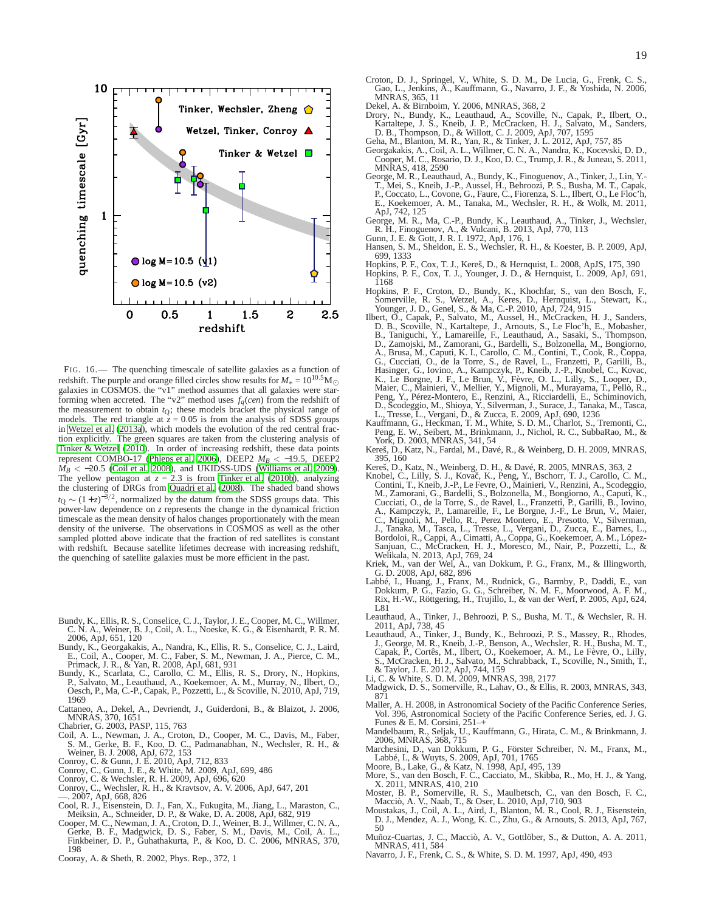

<span id="page-18-37"></span>FIG. 16.— The quenching timescale of satellite galaxies as a function of redshift. The purple and orange filled circles show results for  $M_* = 10^{10.5}$  M<sub>☉</sub> galaxies in COSMOS. the "v1" method assumes that all galaxies were starforming when accreted. The "v2" method uses  $f_q(cen)$  from the redshift of the measurement to obtain *t*Q; these models bracket the physical range of models. The red triangle at  $\bar{z} = 0.05$  is from the analysis of SDSS groups in [Wetzel et al. \(2013a](#page-19-38)), which models the evolution of the red central fraction explicitly. The green squares are taken from the clustering analysis of [Tinker & Wetzel \(2010](#page-19-15)). In order of increasing redshift, these data points represent COMBO-17 [\(Phleps et al. 2006\)](#page-19-43), DEEP2 *M<sup>B</sup>* < −19.5, DEEP2  $M_B < -20.5$  [\(Coil et al. 2008](#page-18-46)), and UKIDSS-UDS [\(Williams et al. 2009](#page-19-2)). The yellow pentagon at  $z = 2.3$  is from [Tinker et al. \(2010b](#page-19-10)), analyzing the clustering of DRGs from [Quadri et al. \(2008](#page-19-44)). The shaded band shows  $t$ Q ~  $(1+z)^{-3/2}$ , normalized by the datum from the SDSS groups data. This power-law dependence on *z* represents the change in the dynamical friction timescale as the mean density of halos changes proportionately with the mean density of the universe. The observations in COSMOS as well as the other sampled plotted above indicate that the fraction of red satellites is constant with redshift. Because satellite lifetimes decrease with increasing redshift, the quenching of satellite galaxies must be more efficient in the past.

- <span id="page-18-23"></span>Bundy, K., Ellis, R. S., Conselice, C. J., Taylor, J. E., Cooper, M. C., Willmer, C. N. A., Weiner, B. J., Coil, A. L., Noeske, K. G., & Eisenhardt, P. R. M. 2006, ApJ, 651, 120
- <span id="page-18-42"></span>Bundy, K., Georgakakis, A., Nandra, K., Ellis, R. S., Conselice, C. J., Laird, E., Coil, A., Cooper, M. C., Faber, S. M., Newman, J. A., Pierce, C. M., Primack, J. R., & Yan, R. 2008, ApJ, 681, 931<br>Primack, J. R., & Yan, R
- <span id="page-18-20"></span>P., Salvato, M., Leauthaud, A., Koekemoer, A. M., Murray, N., Ilbert, O., Oesch, P., Ma, C.-P., Capak, P., Pozzetti, L., & Scoville, N. 2010, ApJ, 719, 1969
- <span id="page-18-8"></span>Cattaneo, A., Dekel, A., Devriendt, J., Guiderdoni, B., & Blaizot, J. 2006, MNRAS, 370, 1651 Chabrier, G. 2003, PASP, 115, 763
- <span id="page-18-24"></span>
- <span id="page-18-46"></span>Coil, A. L., Newman, J. A., Croton, D., Cooper, M. C., Davis, M., Faber, S. M., Gerke, B. F., Koo, D. C., Padmanabhan, N., Wechsler, R. H., & Weiner, B. J. 2008, ApJ, 672, 153
- 
- <span id="page-18-17"></span>Conroy, C. & Gunn, J. E. 2010, ApJ, 712, 833 Conroy, C., Gunn, J. E., & White, M. 2009, ApJ, 699, 486
- <span id="page-18-32"></span><span id="page-18-16"></span>Conroy, C. & Wechsler, R. H. 2009, ApJ, 696, 620
- <span id="page-18-31"></span>
- <span id="page-18-35"></span><span id="page-18-33"></span><span id="page-18-2"></span>
- Conroy, C., Wechsler, R. H., & Kravtsov, A. V. 2006, ApJ, 647, 201<br>
—. 2007, ApJ, 668, 826<br>
Cool, R. J., Eisenstein, D. J., Fan, X., Fukugita, M., Jiang, L., Maraston, C., Ool, R. J., Eisenstein, D. J., Fan, X., Fukugita,
- <span id="page-18-15"></span>Cooray, A. & Sheth, R. 2002, Phys. Rep., 372, 1
- <span id="page-18-6"></span>Croton, D. J., Springel, V., White, S. D. M., De Lucia, G., Frenk, C. S., Gao, L., Jenkins, A., Kauffmann, G., Navarro, J. F., & Yoshida, N. 2006, MNRAS, 365, 11
- <span id="page-18-13"></span><span id="page-18-7"></span>
- Dekel, A. & Birnboim, Y. 2006, MNRAS, 368, 2 Drory, N., Bundy, K., Leauthaud, A., Scoville, N., Capak, P., Ilbert, O., Kartaltepe, J. S., Kneib, J. P., McCracken, H. J., Salvato, M., Sanders, D. B., Thompson, D., & Willott, C. J. 2009, ApJ, 707, 1595
- <span id="page-18-36"></span>Geha, M., Blanton, M. R., Yan, R., & Tinker, J. L. 2012, ApJ, 757, 85
- <span id="page-18-43"></span>Georgakakis, A., Coil, A. L., Willmer, C. N. A., Nandra, K., Kocevski, D. D., Cooper, M. C., Rosario, D. J., Koo, D. C., Trump, J. R., & Juneau, S. 2011, MNRAS, 418, 2590
- <span id="page-18-25"></span>George, M. R., Leauthaud, A., Bundy, K., Finoguenov, A., Tinker, J., Lin, Y.-<br>T., Mei, S., Kneib, J.-P., Aussel, H., Behroozi, P. S., Busha, M. T., Capak, P., Coccato, L., Covone, G., Faure, C., Fiorenza, S. L., Ilbert, O. ApJ, 742, 125
- <span id="page-18-38"></span>George, M. R., Ma, C.-P., Bundy, K., Leauthaud, A., Tinker, J., Wechsler, R. H., Finoguenov, A., & Vulcani, B. 2013, ApJ, 770, 113 Gunn, J. E. & Gott, J. R. I. 1972, ApJ, 176, 1 Hansen, S. M., Sheldon, E. S., Wechsler, R. H., & Koester, B. P. 2009, ApJ,
- <span id="page-18-10"></span>
- <span id="page-18-12"></span>699, 1333
- <span id="page-18-41"></span><span id="page-18-9"></span>Hopkins, P. F., Cox, T. J., Kereš, D., & Hernquist, L. 2008, ApJS, 175, 390 Hopkins, P. F., Cox, T. J., Younger, J. D., & Hernquist, L. 2009, ApJ, 691, 1168
- <span id="page-18-39"></span>Hopkins, P. F., Croton, D., Bundy, K., Khochfar, S., van den Bosch, F., Somerville, R. S., Wetzel, A., Keres, D., Hernquist, L., Stewart, K., Younger, J. D., Genel, S., & Ma, C.-P. 2010, ApJ, 724, 915
- <span id="page-18-22"></span>Ilbert, O., Capak, P., Salvato, M., Aussel, H., McCracken, H. J., Sanders, D. B., Scoville, N., Kartaltepe, J., Arnouts, S., Le Floc'h, E., Mobasher, B., Taniguchi, Y., Lamareille, F., Leauthaud, A., Sasaki, S., Thompson, D., Zamojski, M., Zamorani, G., Bardelli, S., Bolzonella, M., Bongiorno, A., Brusa, M., Caputi, K. I., Carollo, C. M., Contini, T., Cook, R., Coppa, G., Cucciati, O., de la Torre, S., de Ravel, L., Franzetti, P., Garilli, B., K., Konac, A., Iovino, A., Kampczyk, P., Kneib, J.-P., Knobel, C., Kovac, L., K., Le Brygne, J. F., Le Brun, V., Fèvre, O., L., Lilly, S., Looper Peng, Y., Pérez-Montero, E., Renzini, A., Ricciardelli, E., Schiminovich, D., Scodeggio, M., Shioya, Y., Silverman, J., Surace, J., Tanaka, M., Tasca,
- <span id="page-18-0"></span>L., Tresse, L., Vergani, D., & Zucca, E. 2009, ApJ, 690, 1236<br>Kauffmann, G., Heckman, T. M., White, S. D. M., Charlot, S., Tremonti, C., Peng, E. W., Seibert, M., Brinkmann, J., Nichol, R. C., SubbaRao, M., & York, D. 2003
- <span id="page-18-45"></span>Kereš, D., Katz, N., Fardal, M., Davé, R., & Weinberg, D. H. 2009, MNRAS, 395, 160
- 
- <span id="page-18-44"></span><span id="page-18-19"></span>Kereš, D., Katz, N., Weinberg, D. H., & Davé, R. 2005, MNRAS, 363, 2<br>Knobel, C., Lilly, S. J., Kovač, K., Peng, Y., Bschorr, T. J., Carollo, C. M.,<br>Contini, T., Kneib, J.-P., Le Fevre, O., Mainieri, V., Renzini, A., Scodeg M., Zamorani, G., Bardelli, S., Bolzonella, M., Bongiorno, A., Caputi, K., Cucciati, O., de la Torre, S., de Ravel, L., Franzetti, P., Garilli, B., Iovino, A., Kampczyk, P., Lamareille, F., Le Borgne, J.-F., Le Brun, V., Maier, C., Mignoli, M., Pello, R., Perez Montero, E., Presotto, V., Silverma
- <span id="page-18-3"></span>Kriek, M., van der Wel, A., van Dokkum, P. G., Franx, M., & Illingworth, G. D. 2008, ApJ, 682, 896
- <span id="page-18-21"></span>Labbé, I., Huang, J., Franx, M., Rudnick, G., Barmby, P., Daddi, E., van Dokkum, P. G., Fazio, G. G., Schreiber, N. M. F., Moorwood, A. F. M., Rix, H.-W., Röttgering, H., Trujillo, I., & van der Werf, P. 2005, ApJ, 624, L81
- <span id="page-18-4"></span>Leauthaud, A., Tinker, J., Behroozi, P. S., Busha, M. T., & Wechsler, R. H.<br>1901, ApJ, 738, 45<br>Leauthaud, A., Tinker, J., Bundy, K., Behroozi, P. S., Massey, R., Rhodes,<br>1., George, M. R., Kneib, J.-P., Benson, A., Wechsle
- <span id="page-18-5"></span>Capak, P., Cortês, M., Ilbert, O., Koekemoer, A. M., Le Fèvre, O., Lilly, S., McCracken, H. J., Salvato, M., Schrabback, T., Scoville, N., Smith, T., & Taylor, J. E. 2012, ApJ, 744, 159 Li, C. & White, S. D. M. 2009, MNRAS, 398, 2177
- 
- <span id="page-18-30"></span><span id="page-18-1"></span>Madgwick, D. S., Somerville, R., Lahav, O., & Ellis, R. 2003, MNRAS, 343, 871
- <span id="page-18-40"></span>Maller, A. H. 2008, in Astronomical Society of the Pacific Conference Series, Vol. 396, Astronomical Society of the Pacific Conference Series, ed. J. G. Funes & E. M. Corsini, 251–+
- <span id="page-18-34"></span>Mandelbaum, R., Seljak, U., Kauffmann, G., Hirata, C. M., & Brinkmann, J. 2006, MNRAS, 368, 715
- <span id="page-18-18"></span>Marchesini, D., van Dokkum, P. G., Förster Schreiber, N. M., Franx, M.,<br>Labbé, I., & Wuyts, S. 2009, ApJ, 701, 1765<br>Moore, B., Lake, G., & Katz, N. 1998, ApJ, 495, 139<br>More, S., van den Bosch, F. C., Cacciato, M., Skibba,
- 
- <span id="page-18-26"></span><span id="page-18-11"></span>X. 2011, MNRAS, 410, 210
- <span id="page-18-27"></span>Moster, B. P., Somerville, R. S., Maulbetsch, C., van den Bosch, F. C.,
- <span id="page-18-14"></span>Macciò, A. V., Naab, T., & Oser, L. 2010, ApJ, 710, 903 Moustakas, J., Coil, A. L., Aird, J., Blanton, M. R., Cool, R. J., Eisenstein, D. J., Mendez, A. J., Wong, K. C., Zhu, G., & Arnouts, S. 2013, ApJ, 767, 50
- <span id="page-18-28"></span>Muñoz-Cuartas, J. C., Macciò, A. V., Gottlöber, S., & Dutton, A. A. 2011, MNRAS, 411, 584
- <span id="page-18-29"></span>Navarro, J. F., Frenk, C. S., & White, S. D. M. 1997, ApJ, 490, 493